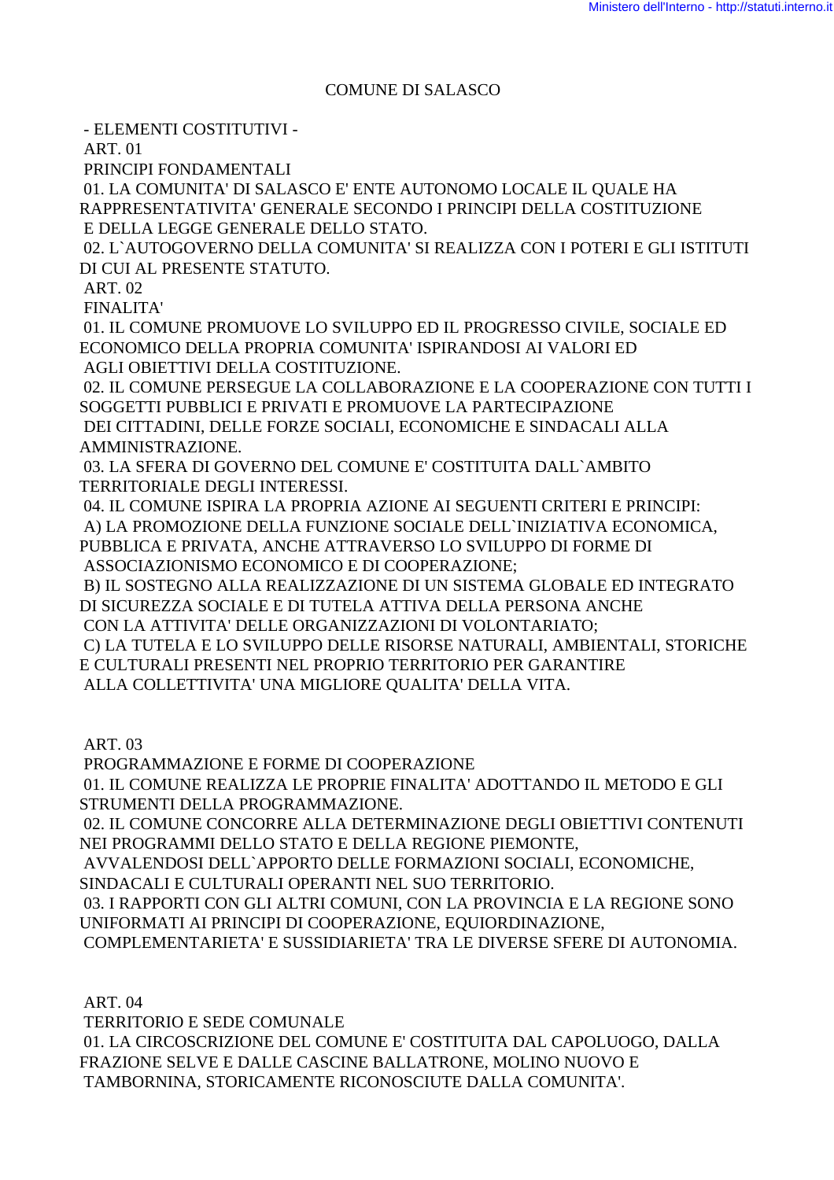### COMUNE DI SALASCO

- ELEMENTI COSTITUTIVI -

ART. 01

PRINCIPI FONDAMENTALI

 01. LA COMUNITA' DI SALASCO E' ENTE AUTONOMO LOCALE IL QUALE HA RAPPRESENTATIVITA' GENERALE SECONDO I PRINCIPI DELLA COSTITUZIONE E DELLA LEGGE GENERALE DELLO STATO.

 02. L`AUTOGOVERNO DELLA COMUNITA' SI REALIZZA CON I POTERI E GLI ISTITUTI DI CUI AL PRESENTE STATUTO.

ART. 02

FINALITA'

 01. IL COMUNE PROMUOVE LO SVILUPPO ED IL PROGRESSO CIVILE, SOCIALE ED ECONOMICO DELLA PROPRIA COMUNITA' ISPIRANDOSI AI VALORI ED AGLI OBIETTIVI DELLA COSTITUZIONE.

 02. IL COMUNE PERSEGUE LA COLLABORAZIONE E LA COOPERAZIONE CON TUTTI I SOGGETTI PUBBLICI E PRIVATI E PROMUOVE LA PARTECIPAZIONE

 DEI CITTADINI, DELLE FORZE SOCIALI, ECONOMICHE E SINDACALI ALLA AMMINISTRAZIONE.

 03. LA SFERA DI GOVERNO DEL COMUNE E' COSTITUITA DALL`AMBITO TERRITORIALE DEGLI INTERESSI.

 04. IL COMUNE ISPIRA LA PROPRIA AZIONE AI SEGUENTI CRITERI E PRINCIPI: A) LA PROMOZIONE DELLA FUNZIONE SOCIALE DELL`INIZIATIVA ECONOMICA,

PUBBLICA E PRIVATA, ANCHE ATTRAVERSO LO SVILUPPO DI FORME DI ASSOCIAZIONISMO ECONOMICO E DI COOPERAZIONE;

 B) IL SOSTEGNO ALLA REALIZZAZIONE DI UN SISTEMA GLOBALE ED INTEGRATO DI SICUREZZA SOCIALE E DI TUTELA ATTIVA DELLA PERSONA ANCHE CON LA ATTIVITA' DELLE ORGANIZZAZIONI DI VOLONTARIATO;

 C) LA TUTELA E LO SVILUPPO DELLE RISORSE NATURALI, AMBIENTALI, STORICHE E CULTURALI PRESENTI NEL PROPRIO TERRITORIO PER GARANTIRE ALLA COLLETTIVITA' UNA MIGLIORE QUALITA' DELLA VITA.

ART. 03

PROGRAMMAZIONE E FORME DI COOPERAZIONE

 01. IL COMUNE REALIZZA LE PROPRIE FINALITA' ADOTTANDO IL METODO E GLI STRUMENTI DELLA PROGRAMMAZIONE.

 02. IL COMUNE CONCORRE ALLA DETERMINAZIONE DEGLI OBIETTIVI CONTENUTI NEI PROGRAMMI DELLO STATO E DELLA REGIONE PIEMONTE,

AVVALENDOSI DELL`APPORTO DELLE FORMAZIONI SOCIALI, ECONOMICHE,

SINDACALI E CULTURALI OPERANTI NEL SUO TERRITORIO.

 03. I RAPPORTI CON GLI ALTRI COMUNI, CON LA PROVINCIA E LA REGIONE SONO UNIFORMATI AI PRINCIPI DI COOPERAZIONE, EQUIORDINAZIONE,

COMPLEMENTARIETA' E SUSSIDIARIETA' TRA LE DIVERSE SFERE DI AUTONOMIA.

ART. 04

 TERRITORIO E SEDE COMUNALE 01. LA CIRCOSCRIZIONE DEL COMUNE E' COSTITUITA DAL CAPOLUOGO, DALLA FRAZIONE SELVE E DALLE CASCINE BALLATRONE, MOLINO NUOVO E TAMBORNINA, STORICAMENTE RICONOSCIUTE DALLA COMUNITA'.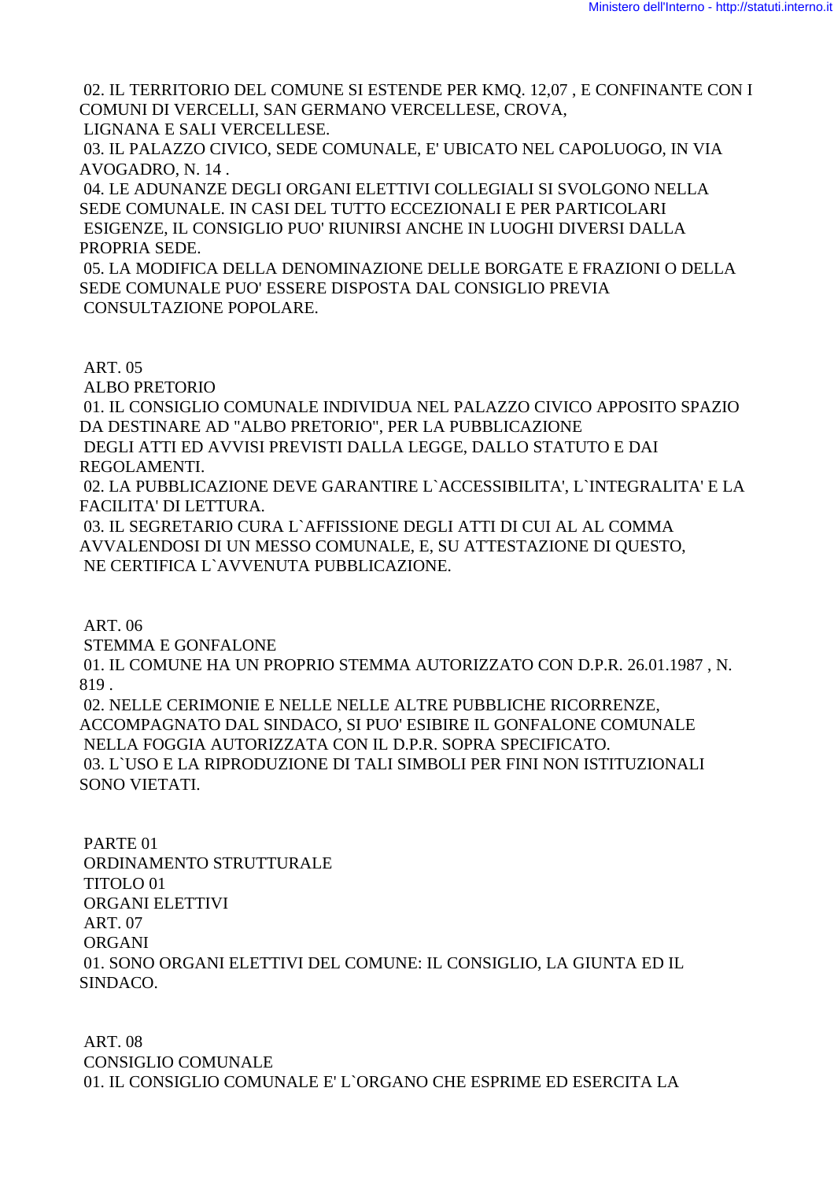02. IL TERRITORIO DEL COMUNE SI ESTENDE PER KMQ. 12,07 , E CONFINANTE CON I COMUNI DI VERCELLI, SAN GERMANO VERCELLESE, CROVA, LIGNANA E SALI VERCELLESE.

 03. IL PALAZZO CIVICO, SEDE COMUNALE, E' UBICATO NEL CAPOLUOGO, IN VIA AVOGADRO, N. 14 .

 04. LE ADUNANZE DEGLI ORGANI ELETTIVI COLLEGIALI SI SVOLGONO NELLA SEDE COMUNALE. IN CASI DEL TUTTO ECCEZIONALI E PER PARTICOLARI ESIGENZE, IL CONSIGLIO PUO' RIUNIRSI ANCHE IN LUOGHI DIVERSI DALLA PROPRIA SEDE.

 05. LA MODIFICA DELLA DENOMINAZIONE DELLE BORGATE E FRAZIONI O DELLA SEDE COMUNALE PUO' ESSERE DISPOSTA DAL CONSIGLIO PREVIA CONSULTAZIONE POPOLARE.

ART. 05

ALBO PRETORIO

 01. IL CONSIGLIO COMUNALE INDIVIDUA NEL PALAZZO CIVICO APPOSITO SPAZIO DA DESTINARE AD "ALBO PRETORIO", PER LA PUBBLICAZIONE

 DEGLI ATTI ED AVVISI PREVISTI DALLA LEGGE, DALLO STATUTO E DAI REGOLAMENTI.

 02. LA PUBBLICAZIONE DEVE GARANTIRE L`ACCESSIBILITA', L`INTEGRALITA' E LA FACILITA' DI LETTURA.

 03. IL SEGRETARIO CURA L`AFFISSIONE DEGLI ATTI DI CUI AL AL COMMA AVVALENDOSI DI UN MESSO COMUNALE, E, SU ATTESTAZIONE DI QUESTO, NE CERTIFICA L`AVVENUTA PUBBLICAZIONE.

ART. 06

STEMMA E GONFALONE

 01. IL COMUNE HA UN PROPRIO STEMMA AUTORIZZATO CON D.P.R. 26.01.1987 , N. 819 .

 02. NELLE CERIMONIE E NELLE NELLE ALTRE PUBBLICHE RICORRENZE, ACCOMPAGNATO DAL SINDACO, SI PUO' ESIBIRE IL GONFALONE COMUNALE NELLA FOGGIA AUTORIZZATA CON IL D.P.R. SOPRA SPECIFICATO. 03. L`USO E LA RIPRODUZIONE DI TALI SIMBOLI PER FINI NON ISTITUZIONALI SONO VIETATI.

 PARTE 01 ORDINAMENTO STRUTTURALE TITOLO 01 ORGANI ELETTIVI ART. 07 ORGANI 01. SONO ORGANI ELETTIVI DEL COMUNE: IL CONSIGLIO, LA GIUNTA ED IL SINDACO.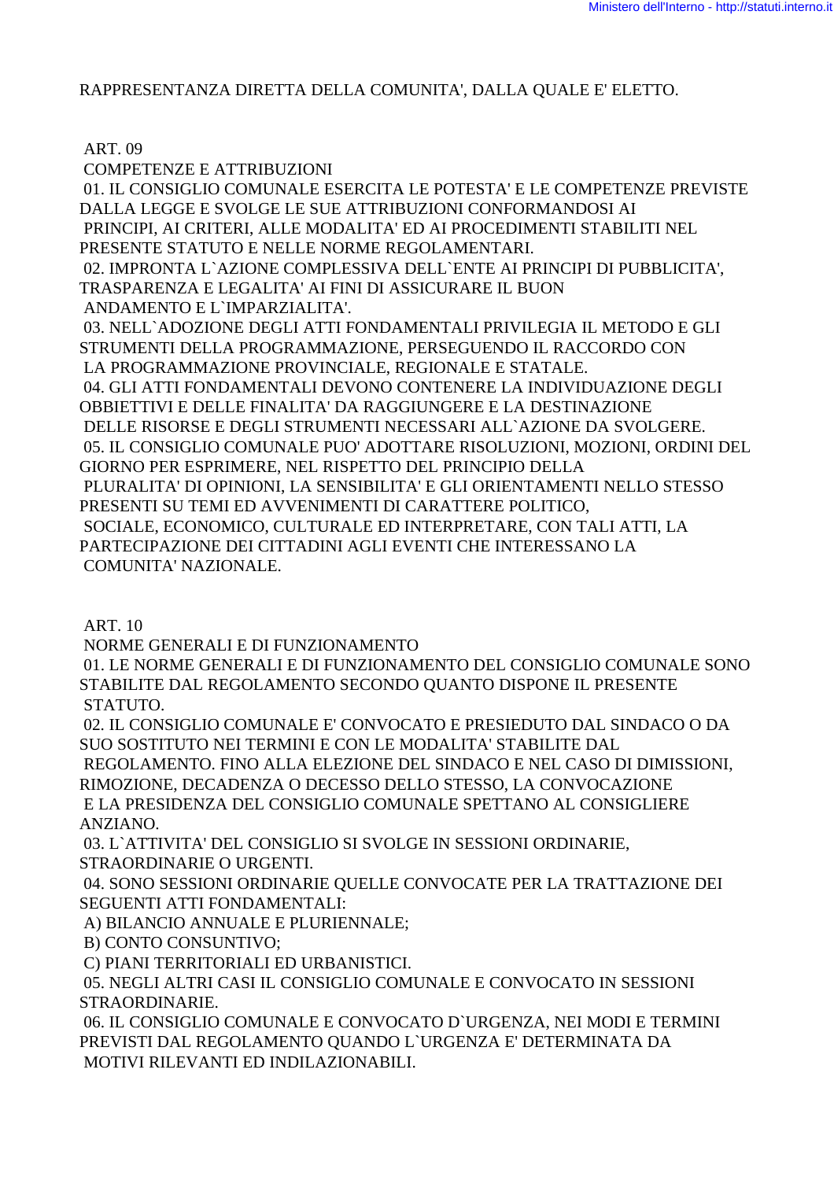### RAPPRESENTANZA DIRETTA DELLA COMUNITA', DALLA QUALE E' ELETTO.

## ART. 09

 COMPETENZE E ATTRIBUZIONI 01. IL CONSIGLIO COMUNALE ESERCITA LE POTESTA' E LE COMPETENZE PREVISTE DALLA LEGGE E SVOLGE LE SUE ATTRIBUZIONI CONFORMANDOSI AI PRINCIPI, AI CRITERI, ALLE MODALITA' ED AI PROCEDIMENTI STABILITI NEL PRESENTE STATUTO E NELLE NORME REGOLAMENTARI. 02. IMPRONTA L`AZIONE COMPLESSIVA DELL`ENTE AI PRINCIPI DI PUBBLICITA', TRASPARENZA E LEGALITA' AI FINI DI ASSICURARE IL BUON ANDAMENTO E L`IMPARZIALITA'. 03. NELL`ADOZIONE DEGLI ATTI FONDAMENTALI PRIVILEGIA IL METODO E GLI STRUMENTI DELLA PROGRAMMAZIONE, PERSEGUENDO IL RACCORDO CON LA PROGRAMMAZIONE PROVINCIALE, REGIONALE E STATALE. 04. GLI ATTI FONDAMENTALI DEVONO CONTENERE LA INDIVIDUAZIONE DEGLI OBBIETTIVI E DELLE FINALITA' DA RAGGIUNGERE E LA DESTINAZIONE DELLE RISORSE E DEGLI STRUMENTI NECESSARI ALL`AZIONE DA SVOLGERE. 05. IL CONSIGLIO COMUNALE PUO' ADOTTARE RISOLUZIONI, MOZIONI, ORDINI DEL GIORNO PER ESPRIMERE, NEL RISPETTO DEL PRINCIPIO DELLA PLURALITA' DI OPINIONI, LA SENSIBILITA' E GLI ORIENTAMENTI NELLO STESSO PRESENTI SU TEMI ED AVVENIMENTI DI CARATTERE POLITICO, SOCIALE, ECONOMICO, CULTURALE ED INTERPRETARE, CON TALI ATTI, LA PARTECIPAZIONE DEI CITTADINI AGLI EVENTI CHE INTERESSANO LA COMUNITA' NAZIONALE.

ART. 10

NORME GENERALI E DI FUNZIONAMENTO

 01. LE NORME GENERALI E DI FUNZIONAMENTO DEL CONSIGLIO COMUNALE SONO STABILITE DAL REGOLAMENTO SECONDO QUANTO DISPONE IL PRESENTE STATUTO.

 02. IL CONSIGLIO COMUNALE E' CONVOCATO E PRESIEDUTO DAL SINDACO O DA SUO SOSTITUTO NEI TERMINI E CON LE MODALITA' STABILITE DAL

 REGOLAMENTO. FINO ALLA ELEZIONE DEL SINDACO E NEL CASO DI DIMISSIONI, RIMOZIONE, DECADENZA O DECESSO DELLO STESSO, LA CONVOCAZIONE E LA PRESIDENZA DEL CONSIGLIO COMUNALE SPETTANO AL CONSIGLIERE

ANZIANO.

 03. L`ATTIVITA' DEL CONSIGLIO SI SVOLGE IN SESSIONI ORDINARIE, STRAORDINARIE O URGENTI.

 04. SONO SESSIONI ORDINARIE QUELLE CONVOCATE PER LA TRATTAZIONE DEI SEGUENTI ATTI FONDAMENTALI:

A) BILANCIO ANNUALE E PLURIENNALE;

B) CONTO CONSUNTIVO;

C) PIANI TERRITORIALI ED URBANISTICI.

 05. NEGLI ALTRI CASI IL CONSIGLIO COMUNALE E CONVOCATO IN SESSIONI STRAORDINARIE.

 06. IL CONSIGLIO COMUNALE E CONVOCATO D`URGENZA, NEI MODI E TERMINI PREVISTI DAL REGOLAMENTO QUANDO L`URGENZA E' DETERMINATA DA MOTIVI RILEVANTI ED INDILAZIONABILI.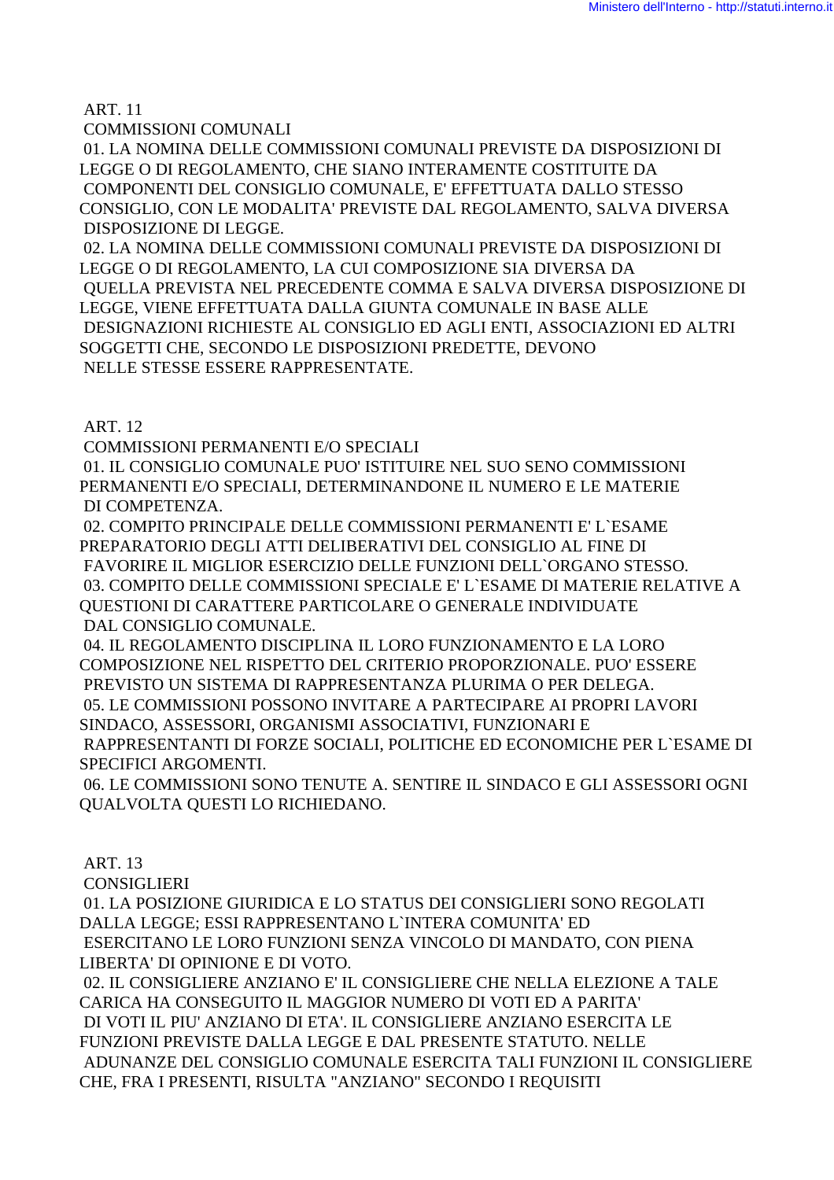ART. 11

COMMISSIONI COMUNALI

 01. LA NOMINA DELLE COMMISSIONI COMUNALI PREVISTE DA DISPOSIZIONI DI LEGGE O DI REGOLAMENTO, CHE SIANO INTERAMENTE COSTITUITE DA COMPONENTI DEL CONSIGLIO COMUNALE, E' EFFETTUATA DALLO STESSO CONSIGLIO, CON LE MODALITA' PREVISTE DAL REGOLAMENTO, SALVA DIVERSA DISPOSIZIONE DI LEGGE.

 02. LA NOMINA DELLE COMMISSIONI COMUNALI PREVISTE DA DISPOSIZIONI DI LEGGE O DI REGOLAMENTO, LA CUI COMPOSIZIONE SIA DIVERSA DA QUELLA PREVISTA NEL PRECEDENTE COMMA E SALVA DIVERSA DISPOSIZIONE DI LEGGE, VIENE EFFETTUATA DALLA GIUNTA COMUNALE IN BASE ALLE DESIGNAZIONI RICHIESTE AL CONSIGLIO ED AGLI ENTI, ASSOCIAZIONI ED ALTRI SOGGETTI CHE, SECONDO LE DISPOSIZIONI PREDETTE, DEVONO NELLE STESSE ESSERE RAPPRESENTATE.

ART. 12

COMMISSIONI PERMANENTI E/O SPECIALI

 01. IL CONSIGLIO COMUNALE PUO' ISTITUIRE NEL SUO SENO COMMISSIONI PERMANENTI E/O SPECIALI, DETERMINANDONE IL NUMERO E LE MATERIE DI COMPETENZA.

 02. COMPITO PRINCIPALE DELLE COMMISSIONI PERMANENTI E' L`ESAME PREPARATORIO DEGLI ATTI DELIBERATIVI DEL CONSIGLIO AL FINE DI FAVORIRE IL MIGLIOR ESERCIZIO DELLE FUNZIONI DELL`ORGANO STESSO. 03. COMPITO DELLE COMMISSIONI SPECIALE E' L`ESAME DI MATERIE RELATIVE A QUESTIONI DI CARATTERE PARTICOLARE O GENERALE INDIVIDUATE DAL CONSIGLIO COMUNALE.

 04. IL REGOLAMENTO DISCIPLINA IL LORO FUNZIONAMENTO E LA LORO COMPOSIZIONE NEL RISPETTO DEL CRITERIO PROPORZIONALE. PUO' ESSERE PREVISTO UN SISTEMA DI RAPPRESENTANZA PLURIMA O PER DELEGA. 05. LE COMMISSIONI POSSONO INVITARE A PARTECIPARE AI PROPRI LAVORI SINDACO, ASSESSORI, ORGANISMI ASSOCIATIVI, FUNZIONARI E

 RAPPRESENTANTI DI FORZE SOCIALI, POLITICHE ED ECONOMICHE PER L`ESAME DI SPECIFICI ARGOMENTI.

 06. LE COMMISSIONI SONO TENUTE A. SENTIRE IL SINDACO E GLI ASSESSORI OGNI QUALVOLTA QUESTI LO RICHIEDANO.

ART. 13

CONSIGLIERI

 01. LA POSIZIONE GIURIDICA E LO STATUS DEI CONSIGLIERI SONO REGOLATI DALLA LEGGE; ESSI RAPPRESENTANO L`INTERA COMUNITA' ED ESERCITANO LE LORO FUNZIONI SENZA VINCOLO DI MANDATO, CON PIENA LIBERTA' DI OPINIONE E DI VOTO.

 02. IL CONSIGLIERE ANZIANO E' IL CONSIGLIERE CHE NELLA ELEZIONE A TALE CARICA HA CONSEGUITO IL MAGGIOR NUMERO DI VOTI ED A PARITA' DI VOTI IL PIU' ANZIANO DI ETA'. IL CONSIGLIERE ANZIANO ESERCITA LE FUNZIONI PREVISTE DALLA LEGGE E DAL PRESENTE STATUTO. NELLE ADUNANZE DEL CONSIGLIO COMUNALE ESERCITA TALI FUNZIONI IL CONSIGLIERE CHE, FRA I PRESENTI, RISULTA "ANZIANO" SECONDO I REQUISITI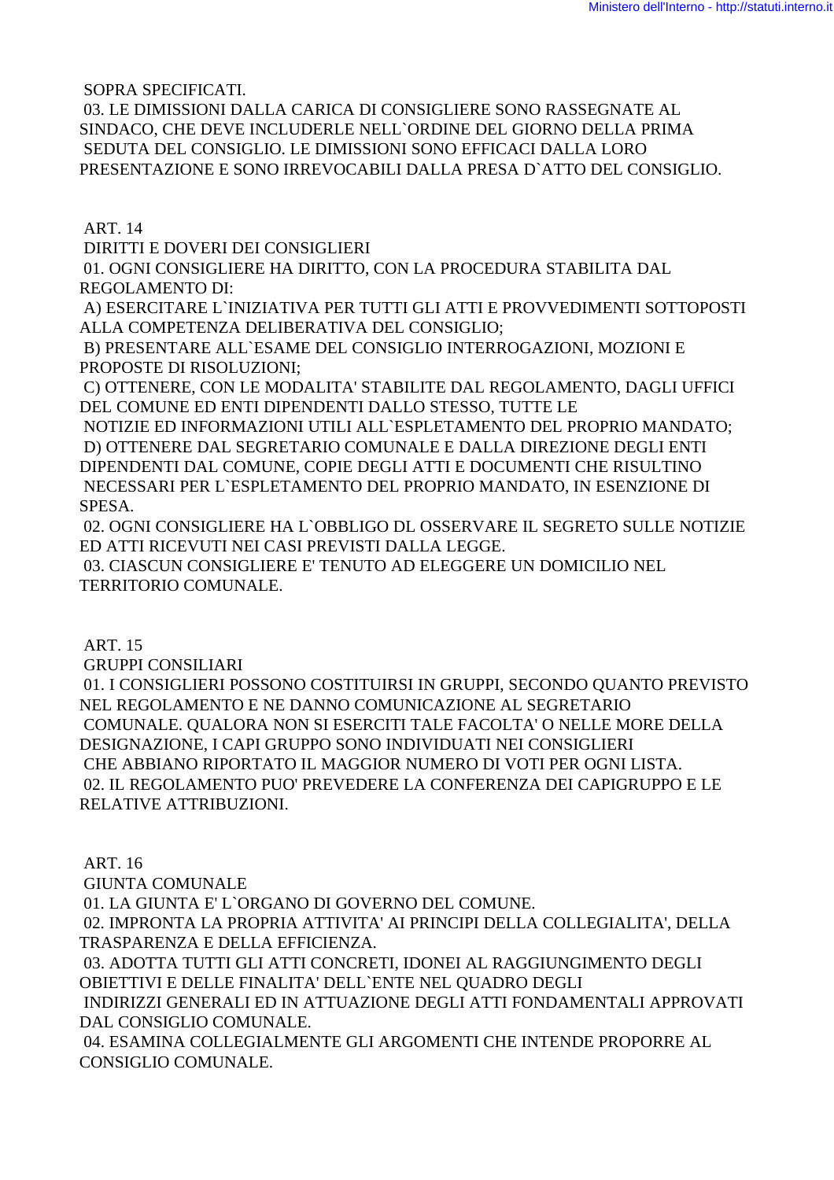SOPRA SPECIFICATI.

 03. LE DIMISSIONI DALLA CARICA DI CONSIGLIERE SONO RASSEGNATE AL SINDACO, CHE DEVE INCLUDERLE NELL`ORDINE DEL GIORNO DELLA PRIMA SEDUTA DEL CONSIGLIO. LE DIMISSIONI SONO EFFICACI DALLA LORO PRESENTAZIONE E SONO IRREVOCABILI DALLA PRESA D`ATTO DEL CONSIGLIO.

ART. 14

DIRITTI E DOVERI DEI CONSIGLIERI

 01. OGNI CONSIGLIERE HA DIRITTO, CON LA PROCEDURA STABILITA DAL REGOLAMENTO DI:

 A) ESERCITARE L`INIZIATIVA PER TUTTI GLI ATTI E PROVVEDIMENTI SOTTOPOSTI ALLA COMPETENZA DELIBERATIVA DEL CONSIGLIO;

 B) PRESENTARE ALL`ESAME DEL CONSIGLIO INTERROGAZIONI, MOZIONI E PROPOSTE DI RISOLUZIONI;

 C) OTTENERE, CON LE MODALITA' STABILITE DAL REGOLAMENTO, DAGLI UFFICI DEL COMUNE ED ENTI DIPENDENTI DALLO STESSO, TUTTE LE

 NOTIZIE ED INFORMAZIONI UTILI ALL`ESPLETAMENTO DEL PROPRIO MANDATO; D) OTTENERE DAL SEGRETARIO COMUNALE E DALLA DIREZIONE DEGLI ENTI DIPENDENTI DAL COMUNE, COPIE DEGLI ATTI E DOCUMENTI CHE RISULTINO NECESSARI PER L`ESPLETAMENTO DEL PROPRIO MANDATO, IN ESENZIONE DI SPESA.

 02. OGNI CONSIGLIERE HA L`OBBLIGO DL OSSERVARE IL SEGRETO SULLE NOTIZIE ED ATTI RICEVUTI NEI CASI PREVISTI DALLA LEGGE.

 03. CIASCUN CONSIGLIERE E' TENUTO AD ELEGGERE UN DOMICILIO NEL TERRITORIO COMUNALE.

ART. 15

GRUPPI CONSILIARI

 01. I CONSIGLIERI POSSONO COSTITUIRSI IN GRUPPI, SECONDO QUANTO PREVISTO NEL REGOLAMENTO E NE DANNO COMUNICAZIONE AL SEGRETARIO COMUNALE. QUALORA NON SI ESERCITI TALE FACOLTA' O NELLE MORE DELLA DESIGNAZIONE, I CAPI GRUPPO SONO INDIVIDUATI NEI CONSIGLIERI CHE ABBIANO RIPORTATO IL MAGGIOR NUMERO DI VOTI PER OGNI LISTA. 02. IL REGOLAMENTO PUO' PREVEDERE LA CONFERENZA DEI CAPIGRUPPO E LE RELATIVE ATTRIBUZIONI.

ART. 16

GIUNTA COMUNALE

01. LA GIUNTA E' L`ORGANO DI GOVERNO DEL COMUNE.

 02. IMPRONTA LA PROPRIA ATTIVITA' AI PRINCIPI DELLA COLLEGIALITA', DELLA TRASPARENZA E DELLA EFFICIENZA.

 03. ADOTTA TUTTI GLI ATTI CONCRETI, IDONEI AL RAGGIUNGIMENTO DEGLI OBIETTIVI E DELLE FINALITA' DELL`ENTE NEL QUADRO DEGLI

 INDIRIZZI GENERALI ED IN ATTUAZIONE DEGLI ATTI FONDAMENTALI APPROVATI DAL CONSIGLIO COMUNALE.

 04. ESAMINA COLLEGIALMENTE GLI ARGOMENTI CHE INTENDE PROPORRE AL CONSIGLIO COMUNALE.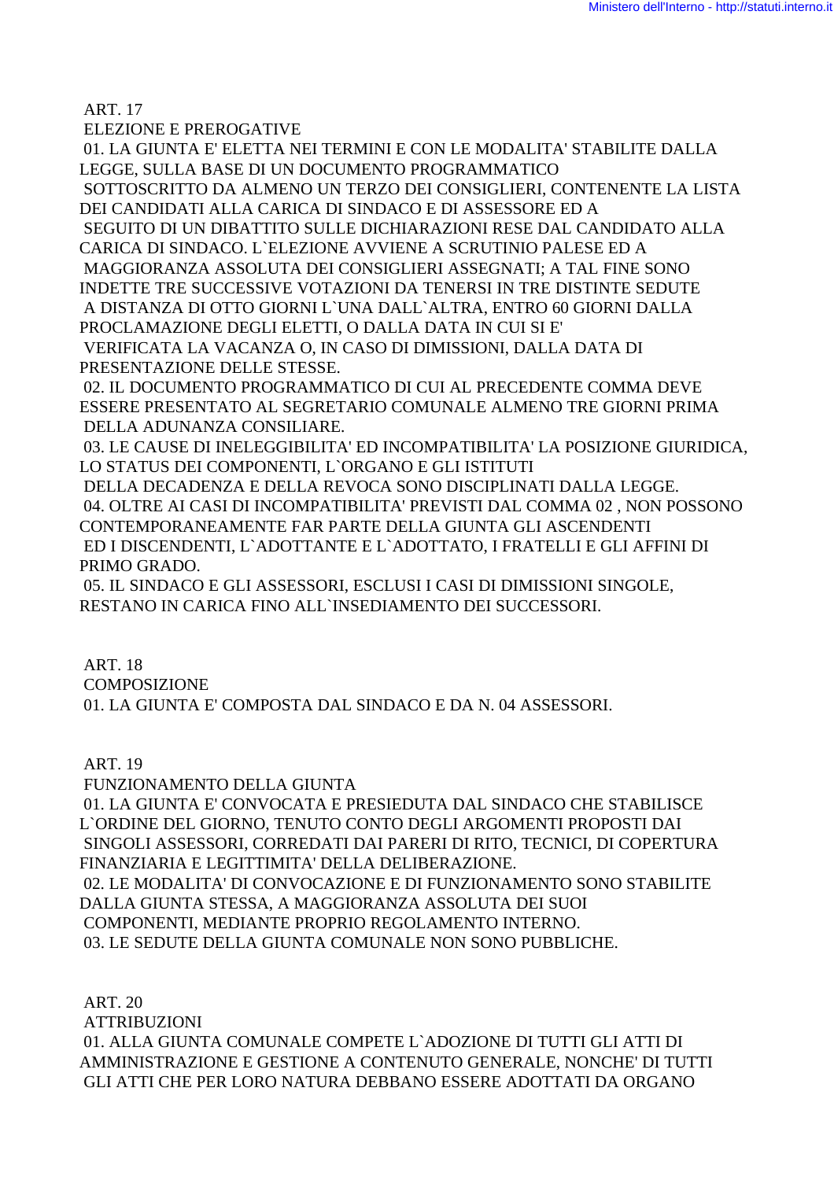ART. 17

ELEZIONE E PREROGATIVE

 01. LA GIUNTA E' ELETTA NEI TERMINI E CON LE MODALITA' STABILITE DALLA LEGGE, SULLA BASE DI UN DOCUMENTO PROGRAMMATICO SOTTOSCRITTO DA ALMENO UN TERZO DEI CONSIGLIERI, CONTENENTE LA LISTA DEI CANDIDATI ALLA CARICA DI SINDACO E DI ASSESSORE ED A SEGUITO DI UN DIBATTITO SULLE DICHIARAZIONI RESE DAL CANDIDATO ALLA CARICA DI SINDACO. L`ELEZIONE AVVIENE A SCRUTINIO PALESE ED A MAGGIORANZA ASSOLUTA DEI CONSIGLIERI ASSEGNATI; A TAL FINE SONO INDETTE TRE SUCCESSIVE VOTAZIONI DA TENERSI IN TRE DISTINTE SEDUTE A DISTANZA DI OTTO GIORNI L`UNA DALL`ALTRA, ENTRO 60 GIORNI DALLA PROCLAMAZIONE DEGLI ELETTI, O DALLA DATA IN CUI SI E' VERIFICATA LA VACANZA O, IN CASO DI DIMISSIONI, DALLA DATA DI PRESENTAZIONE DELLE STESSE. 02. IL DOCUMENTO PROGRAMMATICO DI CUI AL PRECEDENTE COMMA DEVE ESSERE PRESENTATO AL SEGRETARIO COMUNALE ALMENO TRE GIORNI PRIMA DELLA ADUNANZA CONSILIARE. 03. LE CAUSE DI INELEGGIBILITA' ED INCOMPATIBILITA' LA POSIZIONE GIURIDICA, LO STATUS DEI COMPONENTI, L`ORGANO E GLI ISTITUTI

 DELLA DECADENZA E DELLA REVOCA SONO DISCIPLINATI DALLA LEGGE. 04. OLTRE AI CASI DI INCOMPATIBILITA' PREVISTI DAL COMMA 02 , NON POSSONO CONTEMPORANEAMENTE FAR PARTE DELLA GIUNTA GLI ASCENDENTI ED I DISCENDENTI, L`ADOTTANTE E L`ADOTTATO, I FRATELLI E GLI AFFINI DI PRIMO GRADO.

 05. IL SINDACO E GLI ASSESSORI, ESCLUSI I CASI DI DIMISSIONI SINGOLE, RESTANO IN CARICA FINO ALL`INSEDIAMENTO DEI SUCCESSORI.

ART. 18

**COMPOSIZIONE** 

01. LA GIUNTA E' COMPOSTA DAL SINDACO E DA N. 04 ASSESSORI.

ART. 19

FUNZIONAMENTO DELLA GIUNTA

 01. LA GIUNTA E' CONVOCATA E PRESIEDUTA DAL SINDACO CHE STABILISCE L`ORDINE DEL GIORNO, TENUTO CONTO DEGLI ARGOMENTI PROPOSTI DAI SINGOLI ASSESSORI, CORREDATI DAI PARERI DI RITO, TECNICI, DI COPERTURA FINANZIARIA E LEGITTIMITA' DELLA DELIBERAZIONE.

 02. LE MODALITA' DI CONVOCAZIONE E DI FUNZIONAMENTO SONO STABILITE DALLA GIUNTA STESSA, A MAGGIORANZA ASSOLUTA DEI SUOI COMPONENTI, MEDIANTE PROPRIO REGOLAMENTO INTERNO. 03. LE SEDUTE DELLA GIUNTA COMUNALE NON SONO PUBBLICHE.

 ART. 20 ATTRIBUZIONI 01. ALLA GIUNTA COMUNALE COMPETE L`ADOZIONE DI TUTTI GLI ATTI DI AMMINISTRAZIONE E GESTIONE A CONTENUTO GENERALE, NONCHE' DI TUTTI GLI ATTI CHE PER LORO NATURA DEBBANO ESSERE ADOTTATI DA ORGANO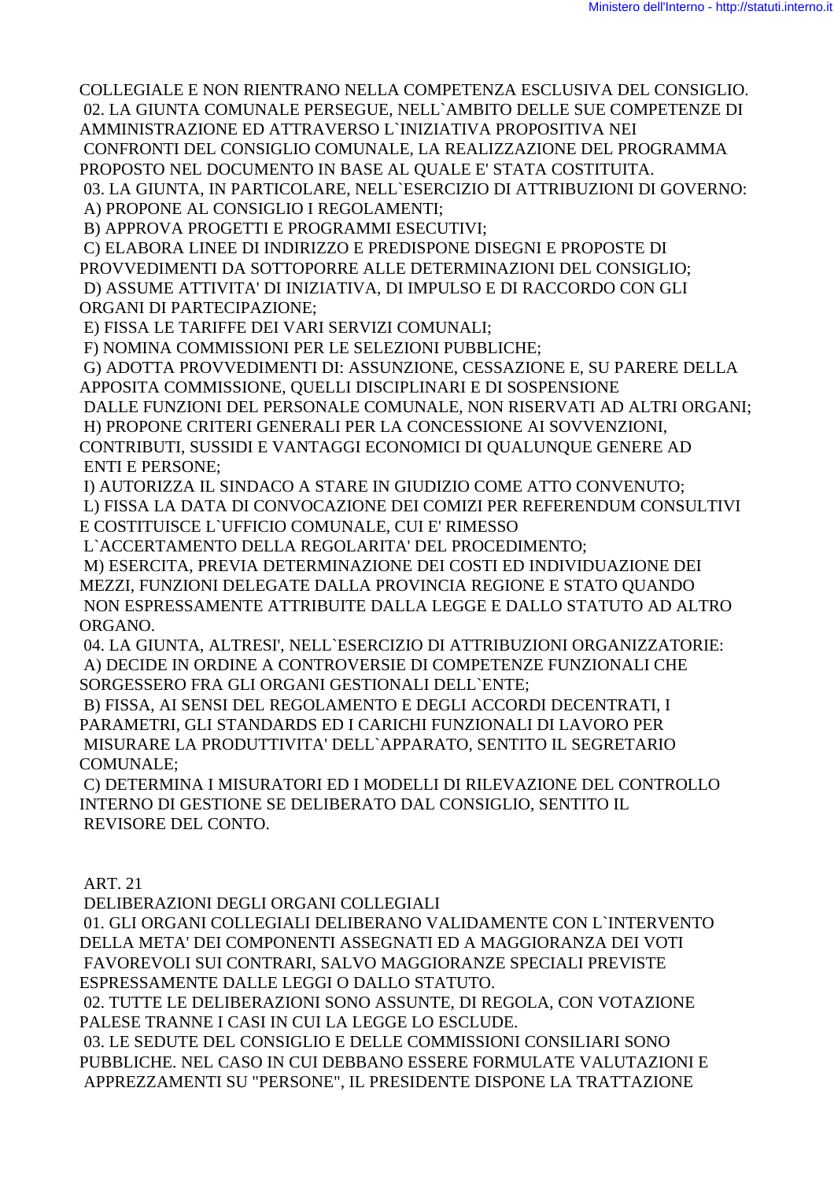COLLEGIALE E NON RIENTRANO NELLA COMPETENZA ESCLUSIVA DEL CONSIGLIO. 02. LA GIUNTA COMUNALE PERSEGUE, NELL`AMBITO DELLE SUE COMPETENZE DI AMMINISTRAZIONE ED ATTRAVERSO L`INIZIATIVA PROPOSITIVA NEI CONFRONTI DEL CONSIGLIO COMUNALE, LA REALIZZAZIONE DEL PROGRAMMA PROPOSTO NEL DOCUMENTO IN BASE AL QUALE E' STATA COSTITUITA.

03. LA GIUNTA, IN PARTICOLARE, NELL`ESERCIZIO DI ATTRIBUZIONI DI GOVERNO:

A) PROPONE AL CONSIGLIO I REGOLAMENTI;

B) APPROVA PROGETTI E PROGRAMMI ESECUTIVI;

C) ELABORA LINEE DI INDIRIZZO E PREDISPONE DISEGNI E PROPOSTE DI

PROVVEDIMENTI DA SOTTOPORRE ALLE DETERMINAZIONI DEL CONSIGLIO;

 D) ASSUME ATTIVITA' DI INIZIATIVA, DI IMPULSO E DI RACCORDO CON GLI ORGANI DI PARTECIPAZIONE;

E) FISSA LE TARIFFE DEI VARI SERVIZI COMUNALI;

F) NOMINA COMMISSIONI PER LE SELEZIONI PUBBLICHE;

 G) ADOTTA PROVVEDIMENTI DI: ASSUNZIONE, CESSAZIONE E, SU PARERE DELLA APPOSITA COMMISSIONE, QUELLI DISCIPLINARI E DI SOSPENSIONE

DALLE FUNZIONI DEL PERSONALE COMUNALE, NON RISERVATI AD ALTRI ORGANI;

 H) PROPONE CRITERI GENERALI PER LA CONCESSIONE AI SOVVENZIONI, CONTRIBUTI, SUSSIDI E VANTAGGI ECONOMICI DI QUALUNQUE GENERE AD ENTI E PERSONE;

 I) AUTORIZZA IL SINDACO A STARE IN GIUDIZIO COME ATTO CONVENUTO; L) FISSA LA DATA DI CONVOCAZIONE DEI COMIZI PER REFERENDUM CONSULTIVI E COSTITUISCE L`UFFICIO COMUNALE, CUI E' RIMESSO

L`ACCERTAMENTO DELLA REGOLARITA' DEL PROCEDIMENTO;

 M) ESERCITA, PREVIA DETERMINAZIONE DEI COSTI ED INDIVIDUAZIONE DEI MEZZI, FUNZIONI DELEGATE DALLA PROVINCIA REGIONE E STATO QUANDO NON ESPRESSAMENTE ATTRIBUITE DALLA LEGGE E DALLO STATUTO AD ALTRO ORGANO.

 04. LA GIUNTA, ALTRESI', NELL`ESERCIZIO DI ATTRIBUZIONI ORGANIZZATORIE: A) DECIDE IN ORDINE A CONTROVERSIE DI COMPETENZE FUNZIONALI CHE SORGESSERO FRA GLI ORGANI GESTIONALI DELL`ENTE;

 B) FISSA, AI SENSI DEL REGOLAMENTO E DEGLI ACCORDI DECENTRATI, I PARAMETRI, GLI STANDARDS ED I CARICHI FUNZIONALI DI LAVORO PER MISURARE LA PRODUTTIVITA' DELL`APPARATO, SENTITO IL SEGRETARIO COMUNALE;

 C) DETERMINA I MISURATORI ED I MODELLI DI RILEVAZIONE DEL CONTROLLO INTERNO DI GESTIONE SE DELIBERATO DAL CONSIGLIO, SENTITO IL REVISORE DEL CONTO.

ART. 21

DELIBERAZIONI DEGLI ORGANI COLLEGIALI

 01. GLI ORGANI COLLEGIALI DELIBERANO VALIDAMENTE CON L`INTERVENTO DELLA META' DEI COMPONENTI ASSEGNATI ED A MAGGIORANZA DEI VOTI FAVOREVOLI SUI CONTRARI, SALVO MAGGIORANZE SPECIALI PREVISTE ESPRESSAMENTE DALLE LEGGI O DALLO STATUTO.

 02. TUTTE LE DELIBERAZIONI SONO ASSUNTE, DI REGOLA, CON VOTAZIONE PALESE TRANNE I CASI IN CUI LA LEGGE LO ESCLUDE.

 03. LE SEDUTE DEL CONSIGLIO E DELLE COMMISSIONI CONSILIARI SONO PUBBLICHE. NEL CASO IN CUI DEBBANO ESSERE FORMULATE VALUTAZIONI E APPREZZAMENTI SU "PERSONE", IL PRESIDENTE DISPONE LA TRATTAZIONE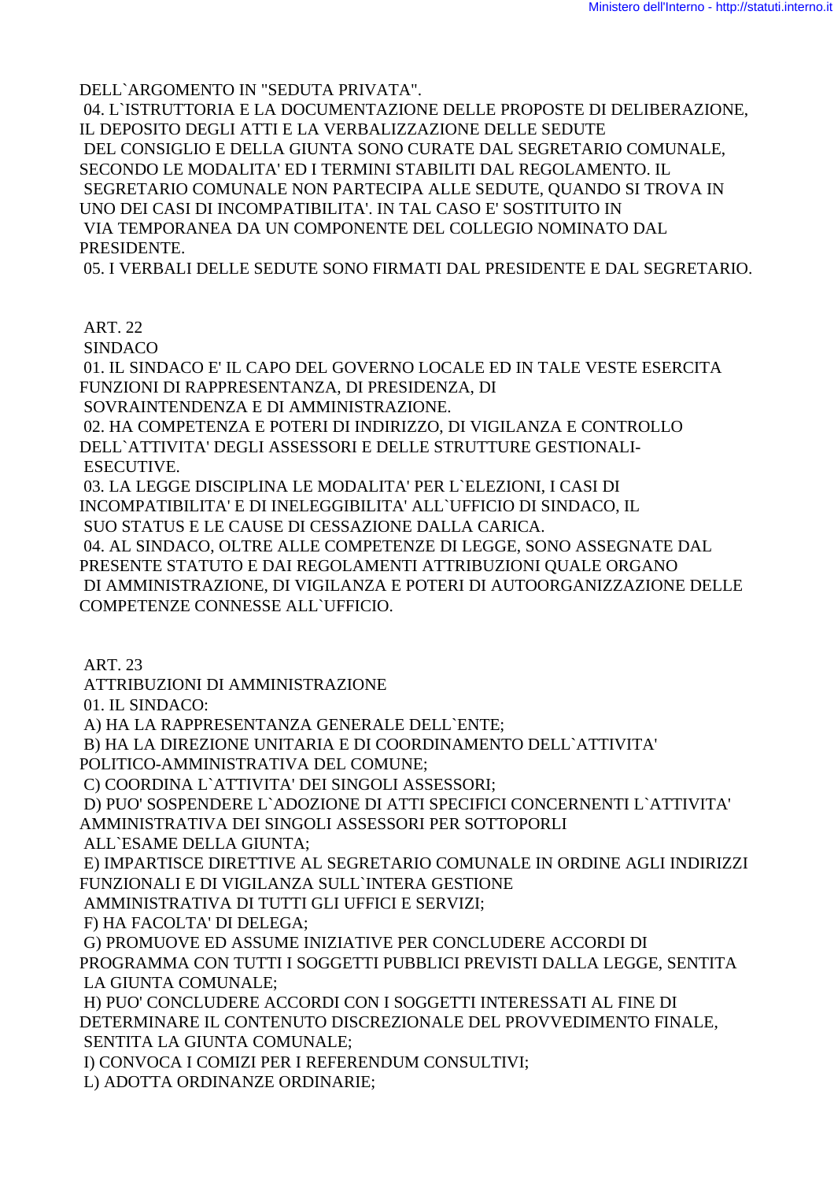DELL`ARGOMENTO IN "SEDUTA PRIVATA".

 04. L`ISTRUTTORIA E LA DOCUMENTAZIONE DELLE PROPOSTE DI DELIBERAZIONE, IL DEPOSITO DEGLI ATTI E LA VERBALIZZAZIONE DELLE SEDUTE DEL CONSIGLIO E DELLA GIUNTA SONO CURATE DAL SEGRETARIO COMUNALE, SECONDO LE MODALITA' ED I TERMINI STABILITI DAL REGOLAMENTO. IL SEGRETARIO COMUNALE NON PARTECIPA ALLE SEDUTE, QUANDO SI TROVA IN UNO DEI CASI DI INCOMPATIBILITA'. IN TAL CASO E' SOSTITUITO IN VIA TEMPORANEA DA UN COMPONENTE DEL COLLEGIO NOMINATO DAL PRESIDENTE.

05. I VERBALI DELLE SEDUTE SONO FIRMATI DAL PRESIDENTE E DAL SEGRETARIO.

ART. 22

SINDACO

 01. IL SINDACO E' IL CAPO DEL GOVERNO LOCALE ED IN TALE VESTE ESERCITA FUNZIONI DI RAPPRESENTANZA, DI PRESIDENZA, DI

SOVRAINTENDENZA E DI AMMINISTRAZIONE.

 02. HA COMPETENZA E POTERI DI INDIRIZZO, DI VIGILANZA E CONTROLLO DELL`ATTIVITA' DEGLI ASSESSORI E DELLE STRUTTURE GESTIONALI- ESECUTIVE.

 03. LA LEGGE DISCIPLINA LE MODALITA' PER L`ELEZIONI, I CASI DI INCOMPATIBILITA' E DI INELEGGIBILITA' ALL`UFFICIO DI SINDACO, IL

SUO STATUS E LE CAUSE DI CESSAZIONE DALLA CARICA.

 04. AL SINDACO, OLTRE ALLE COMPETENZE DI LEGGE, SONO ASSEGNATE DAL PRESENTE STATUTO E DAI REGOLAMENTI ATTRIBUZIONI QUALE ORGANO DI AMMINISTRAZIONE, DI VIGILANZA E POTERI DI AUTOORGANIZZAZIONE DELLE COMPETENZE CONNESSE ALL`UFFICIO.

ART. 23

ATTRIBUZIONI DI AMMINISTRAZIONE

01. IL SINDACO:

A) HA LA RAPPRESENTANZA GENERALE DELL`ENTE;

B) HA LA DIREZIONE UNITARIA E DI COORDINAMENTO DELL`ATTIVITA'

POLITICO-AMMINISTRATIVA DEL COMUNE;

C) COORDINA L`ATTIVITA' DEI SINGOLI ASSESSORI;

 D) PUO' SOSPENDERE L`ADOZIONE DI ATTI SPECIFICI CONCERNENTI L`ATTIVITA' AMMINISTRATIVA DEI SINGOLI ASSESSORI PER SOTTOPORLI

ALL`ESAME DELLA GIUNTA;

 E) IMPARTISCE DIRETTIVE AL SEGRETARIO COMUNALE IN ORDINE AGLI INDIRIZZI FUNZIONALI E DI VIGILANZA SULL`INTERA GESTIONE

AMMINISTRATIVA DI TUTTI GLI UFFICI E SERVIZI;

F) HA FACOLTA' DI DELEGA;

 G) PROMUOVE ED ASSUME INIZIATIVE PER CONCLUDERE ACCORDI DI PROGRAMMA CON TUTTI I SOGGETTI PUBBLICI PREVISTI DALLA LEGGE, SENTITA LA GIUNTA COMUNALE;

 H) PUO' CONCLUDERE ACCORDI CON I SOGGETTI INTERESSATI AL FINE DI DETERMINARE IL CONTENUTO DISCREZIONALE DEL PROVVEDIMENTO FINALE, SENTITA LA GIUNTA COMUNALE;

I) CONVOCA I COMIZI PER I REFERENDUM CONSULTIVI;

L) ADOTTA ORDINANZE ORDINARIE;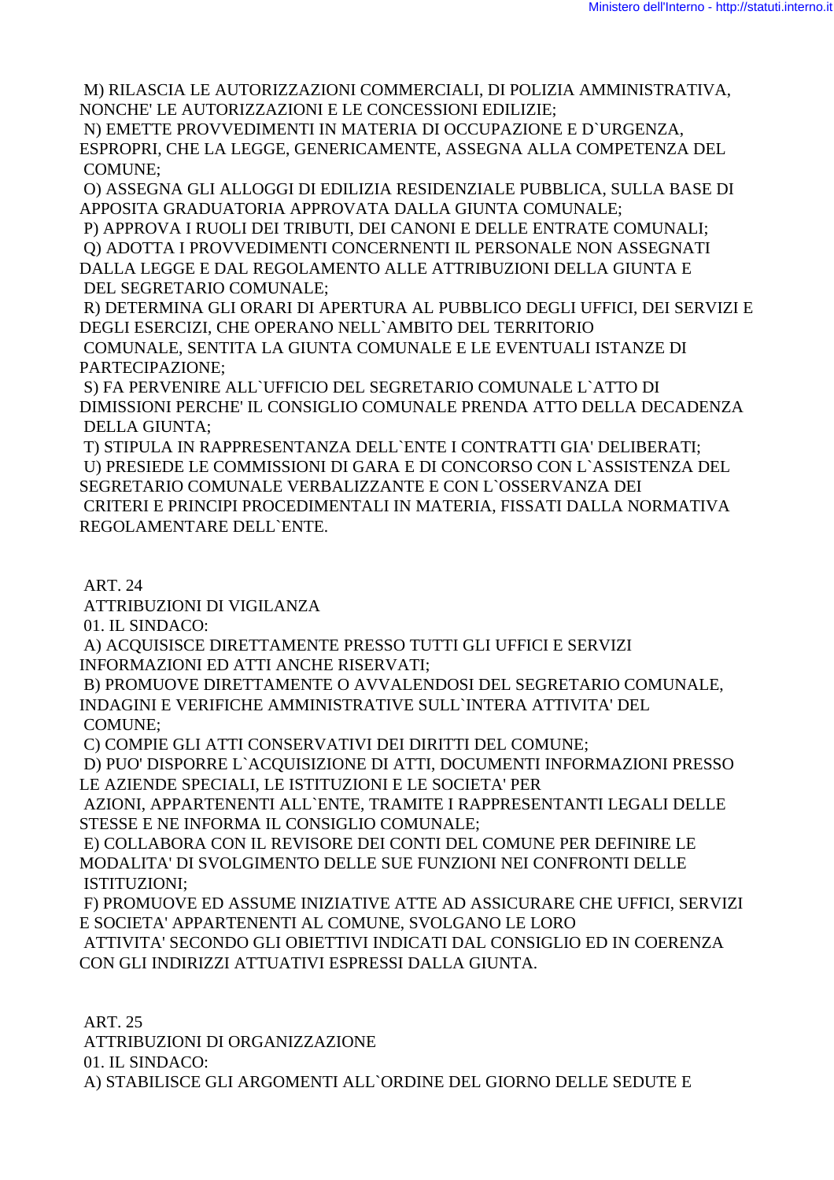M) RILASCIA LE AUTORIZZAZIONI COMMERCIALI, DI POLIZIA AMMINISTRATIVA, NONCHE' LE AUTORIZZAZIONI E LE CONCESSIONI EDILIZIE;

 N) EMETTE PROVVEDIMENTI IN MATERIA DI OCCUPAZIONE E D`URGENZA, ESPROPRI, CHE LA LEGGE, GENERICAMENTE, ASSEGNA ALLA COMPETENZA DEL COMUNE;

 O) ASSEGNA GLI ALLOGGI DI EDILIZIA RESIDENZIALE PUBBLICA, SULLA BASE DI APPOSITA GRADUATORIA APPROVATA DALLA GIUNTA COMUNALE;

 P) APPROVA I RUOLI DEI TRIBUTI, DEI CANONI E DELLE ENTRATE COMUNALI; Q) ADOTTA I PROVVEDIMENTI CONCERNENTI IL PERSONALE NON ASSEGNATI DALLA LEGGE E DAL REGOLAMENTO ALLE ATTRIBUZIONI DELLA GIUNTA E DEL SEGRETARIO COMUNALE;

 R) DETERMINA GLI ORARI DI APERTURA AL PUBBLICO DEGLI UFFICI, DEI SERVIZI E DEGLI ESERCIZI, CHE OPERANO NELL`AMBITO DEL TERRITORIO COMUNALE, SENTITA LA GIUNTA COMUNALE E LE EVENTUALI ISTANZE DI PARTECIPAZIONE;

 S) FA PERVENIRE ALL`UFFICIO DEL SEGRETARIO COMUNALE L`ATTO DI DIMISSIONI PERCHE' IL CONSIGLIO COMUNALE PRENDA ATTO DELLA DECADENZA DELLA GIUNTA;

 T) STIPULA IN RAPPRESENTANZA DELL`ENTE I CONTRATTI GIA' DELIBERATI; U) PRESIEDE LE COMMISSIONI DI GARA E DI CONCORSO CON L`ASSISTENZA DEL SEGRETARIO COMUNALE VERBALIZZANTE E CON L`OSSERVANZA DEI CRITERI E PRINCIPI PROCEDIMENTALI IN MATERIA, FISSATI DALLA NORMATIVA REGOLAMENTARE DELL`ENTE.

# ART. 24

ATTRIBUZIONI DI VIGILANZA

01. IL SINDACO:

 A) ACQUISISCE DIRETTAMENTE PRESSO TUTTI GLI UFFICI E SERVIZI INFORMAZIONI ED ATTI ANCHE RISERVATI;

 B) PROMUOVE DIRETTAMENTE O AVVALENDOSI DEL SEGRETARIO COMUNALE, INDAGINI E VERIFICHE AMMINISTRATIVE SULL`INTERA ATTIVITA' DEL COMUNE;

C) COMPIE GLI ATTI CONSERVATIVI DEI DIRITTI DEL COMUNE;

 D) PUO' DISPORRE L`ACQUISIZIONE DI ATTI, DOCUMENTI INFORMAZIONI PRESSO LE AZIENDE SPECIALI, LE ISTITUZIONI E LE SOCIETA' PER

 AZIONI, APPARTENENTI ALL`ENTE, TRAMITE I RAPPRESENTANTI LEGALI DELLE STESSE E NE INFORMA IL CONSIGLIO COMUNALE;

 E) COLLABORA CON IL REVISORE DEI CONTI DEL COMUNE PER DEFINIRE LE MODALITA' DI SVOLGIMENTO DELLE SUE FUNZIONI NEI CONFRONTI DELLE ISTITUZIONI;

 F) PROMUOVE ED ASSUME INIZIATIVE ATTE AD ASSICURARE CHE UFFICI, SERVIZI E SOCIETA' APPARTENENTI AL COMUNE, SVOLGANO LE LORO

 ATTIVITA' SECONDO GLI OBIETTIVI INDICATI DAL CONSIGLIO ED IN COERENZA CON GLI INDIRIZZI ATTUATIVI ESPRESSI DALLA GIUNTA.

 ART. 25 ATTRIBUZIONI DI ORGANIZZAZIONE 01. IL SINDACO: A) STABILISCE GLI ARGOMENTI ALL`ORDINE DEL GIORNO DELLE SEDUTE E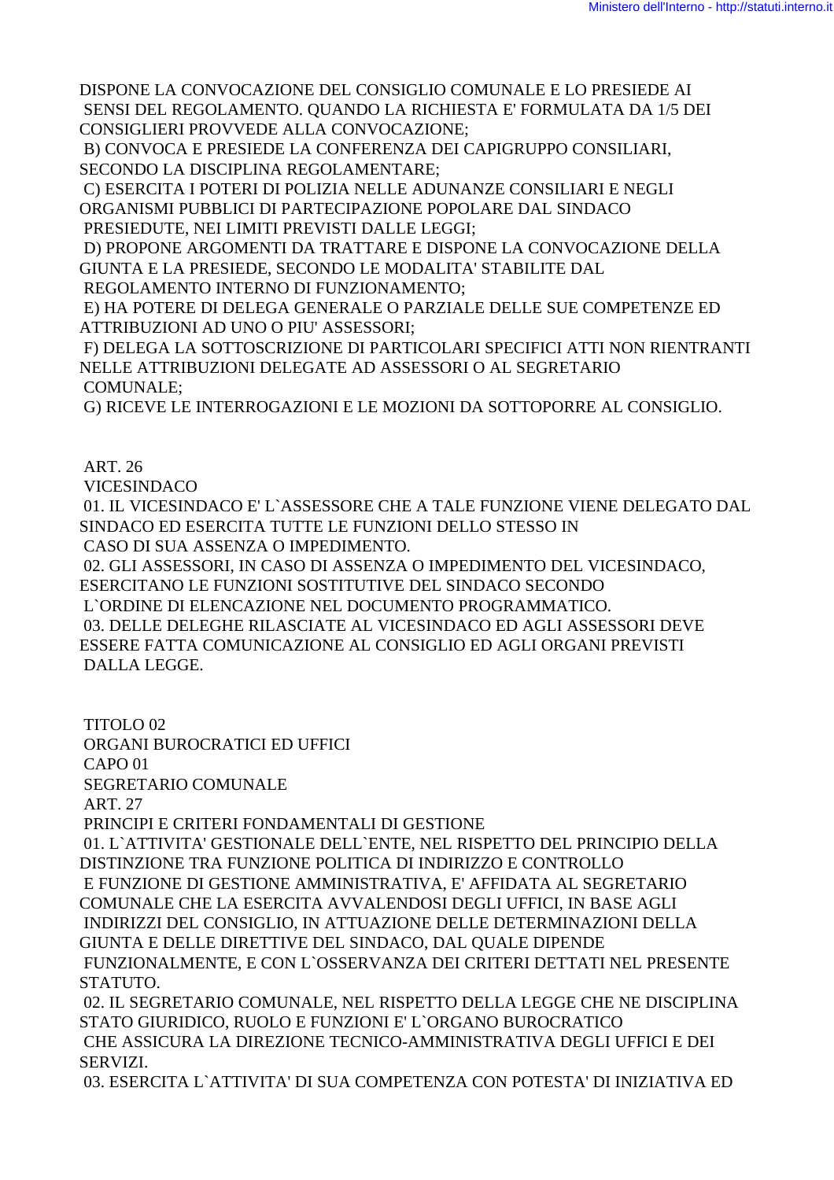DISPONE LA CONVOCAZIONE DEL CONSIGLIO COMUNALE E LO PRESIEDE AI SENSI DEL REGOLAMENTO. QUANDO LA RICHIESTA E' FORMULATA DA 1/5 DEI CONSIGLIERI PROVVEDE ALLA CONVOCAZIONE;

 B) CONVOCA E PRESIEDE LA CONFERENZA DEI CAPIGRUPPO CONSILIARI, SECONDO LA DISCIPLINA REGOLAMENTARE;

 C) ESERCITA I POTERI DI POLIZIA NELLE ADUNANZE CONSILIARI E NEGLI ORGANISMI PUBBLICI DI PARTECIPAZIONE POPOLARE DAL SINDACO PRESIEDUTE, NEI LIMITI PREVISTI DALLE LEGGI;

 D) PROPONE ARGOMENTI DA TRATTARE E DISPONE LA CONVOCAZIONE DELLA GIUNTA E LA PRESIEDE, SECONDO LE MODALITA' STABILITE DAL

REGOLAMENTO INTERNO DI FUNZIONAMENTO;

 E) HA POTERE DI DELEGA GENERALE O PARZIALE DELLE SUE COMPETENZE ED ATTRIBUZIONI AD UNO O PIU' ASSESSORI;

 F) DELEGA LA SOTTOSCRIZIONE DI PARTICOLARI SPECIFICI ATTI NON RIENTRANTI NELLE ATTRIBUZIONI DELEGATE AD ASSESSORI O AL SEGRETARIO COMUNALE;

G) RICEVE LE INTERROGAZIONI E LE MOZIONI DA SOTTOPORRE AL CONSIGLIO.

ART. 26

**VICESINDACO** 

 01. IL VICESINDACO E' L`ASSESSORE CHE A TALE FUNZIONE VIENE DELEGATO DAL SINDACO ED ESERCITA TUTTE LE FUNZIONI DELLO STESSO IN CASO DI SUA ASSENZA O IMPEDIMENTO.

 02. GLI ASSESSORI, IN CASO DI ASSENZA O IMPEDIMENTO DEL VICESINDACO, ESERCITANO LE FUNZIONI SOSTITUTIVE DEL SINDACO SECONDO

L`ORDINE DI ELENCAZIONE NEL DOCUMENTO PROGRAMMATICO.

 03. DELLE DELEGHE RILASCIATE AL VICESINDACO ED AGLI ASSESSORI DEVE ESSERE FATTA COMUNICAZIONE AL CONSIGLIO ED AGLI ORGANI PREVISTI DALLA LEGGE.

 TITOLO 02 ORGANI BUROCRATICI ED UFFICI CAPO 01 SEGRETARIO COMUNALE ART. 27 PRINCIPI E CRITERI FONDAMENTALI DI GESTIONE 01. L`ATTIVITA' GESTIONALE DELL`ENTE, NEL RISPETTO DEL PRINCIPIO DELLA DISTINZIONE TRA FUNZIONE POLITICA DI INDIRIZZO E CONTROLLO E FUNZIONE DI GESTIONE AMMINISTRATIVA, E' AFFIDATA AL SEGRETARIO COMUNALE CHE LA ESERCITA AVVALENDOSI DEGLI UFFICI, IN BASE AGLI INDIRIZZI DEL CONSIGLIO, IN ATTUAZIONE DELLE DETERMINAZIONI DELLA GIUNTA E DELLE DIRETTIVE DEL SINDACO, DAL QUALE DIPENDE FUNZIONALMENTE, E CON L`OSSERVANZA DEI CRITERI DETTATI NEL PRESENTE STATUTO. 02. IL SEGRETARIO COMUNALE, NEL RISPETTO DELLA LEGGE CHE NE DISCIPLINA STATO GIURIDICO, RUOLO E FUNZIONI E' L`ORGANO BUROCRATICO CHE ASSICURA LA DIREZIONE TECNICO-AMMINISTRATIVA DEGLI UFFICI E DEI

SERVIZI.

03. ESERCITA L`ATTIVITA' DI SUA COMPETENZA CON POTESTA' DI INIZIATIVA ED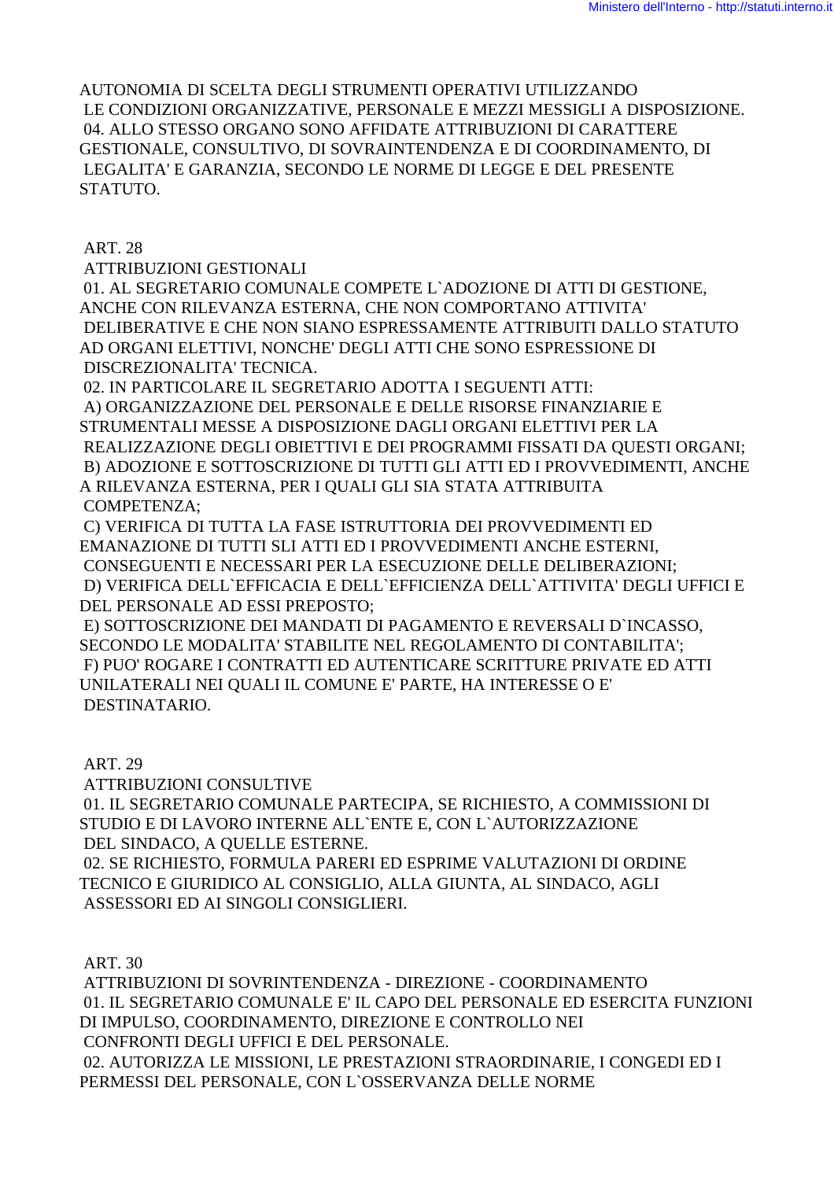AUTONOMIA DI SCELTA DEGLI STRUMENTI OPERATIVI UTILIZZANDO LE CONDIZIONI ORGANIZZATIVE, PERSONALE E MEZZI MESSIGLI A DISPOSIZIONE. 04. ALLO STESSO ORGANO SONO AFFIDATE ATTRIBUZIONI DI CARATTERE GESTIONALE, CONSULTIVO, DI SOVRAINTENDENZA E DI COORDINAMENTO, DI LEGALITA' E GARANZIA, SECONDO LE NORME DI LEGGE E DEL PRESENTE STATUTO.

ART. 28

ATTRIBUZIONI GESTIONALI

 01. AL SEGRETARIO COMUNALE COMPETE L`ADOZIONE DI ATTI DI GESTIONE, ANCHE CON RILEVANZA ESTERNA, CHE NON COMPORTANO ATTIVITA' DELIBERATIVE E CHE NON SIANO ESPRESSAMENTE ATTRIBUITI DALLO STATUTO AD ORGANI ELETTIVI, NONCHE' DEGLI ATTI CHE SONO ESPRESSIONE DI DISCREZIONALITA' TECNICA.

02. IN PARTICOLARE IL SEGRETARIO ADOTTA I SEGUENTI ATTI:

 A) ORGANIZZAZIONE DEL PERSONALE E DELLE RISORSE FINANZIARIE E STRUMENTALI MESSE A DISPOSIZIONE DAGLI ORGANI ELETTIVI PER LA REALIZZAZIONE DEGLI OBIETTIVI E DEI PROGRAMMI FISSATI DA QUESTI ORGANI; B) ADOZIONE E SOTTOSCRIZIONE DI TUTTI GLI ATTI ED I PROVVEDIMENTI, ANCHE A RILEVANZA ESTERNA, PER I QUALI GLI SIA STATA ATTRIBUITA COMPETENZA;

 C) VERIFICA DI TUTTA LA FASE ISTRUTTORIA DEI PROVVEDIMENTI ED EMANAZIONE DI TUTTI SLI ATTI ED I PROVVEDIMENTI ANCHE ESTERNI, CONSEGUENTI E NECESSARI PER LA ESECUZIONE DELLE DELIBERAZIONI; D) VERIFICA DELL`EFFICACIA E DELL`EFFICIENZA DELL`ATTIVITA' DEGLI UFFICI E DEL PERSONALE AD ESSI PREPOSTO;

 E) SOTTOSCRIZIONE DEI MANDATI DI PAGAMENTO E REVERSALI D`INCASSO, SECONDO LE MODALITA' STABILITE NEL REGOLAMENTO DI CONTABILITA'; F) PUO' ROGARE I CONTRATTI ED AUTENTICARE SCRITTURE PRIVATE ED ATTI UNILATERALI NEI QUALI IL COMUNE E' PARTE, HA INTERESSE O E' DESTINATARIO.

ART. 29

ATTRIBUZIONI CONSULTIVE

 01. IL SEGRETARIO COMUNALE PARTECIPA, SE RICHIESTO, A COMMISSIONI DI STUDIO E DI LAVORO INTERNE ALL`ENTE E, CON L`AUTORIZZAZIONE DEL SINDACO, A QUELLE ESTERNE.

 02. SE RICHIESTO, FORMULA PARERI ED ESPRIME VALUTAZIONI DI ORDINE TECNICO E GIURIDICO AL CONSIGLIO, ALLA GIUNTA, AL SINDACO, AGLI ASSESSORI ED AI SINGOLI CONSIGLIERI.

ART. 30

 ATTRIBUZIONI DI SOVRINTENDENZA - DIREZIONE - COORDINAMENTO 01. IL SEGRETARIO COMUNALE E' IL CAPO DEL PERSONALE ED ESERCITA FUNZIONI DI IMPULSO, COORDINAMENTO, DIREZIONE E CONTROLLO NEI CONFRONTI DEGLI UFFICI E DEL PERSONALE. 02. AUTORIZZA LE MISSIONI, LE PRESTAZIONI STRAORDINARIE, I CONGEDI ED I PERMESSI DEL PERSONALE, CON L`OSSERVANZA DELLE NORME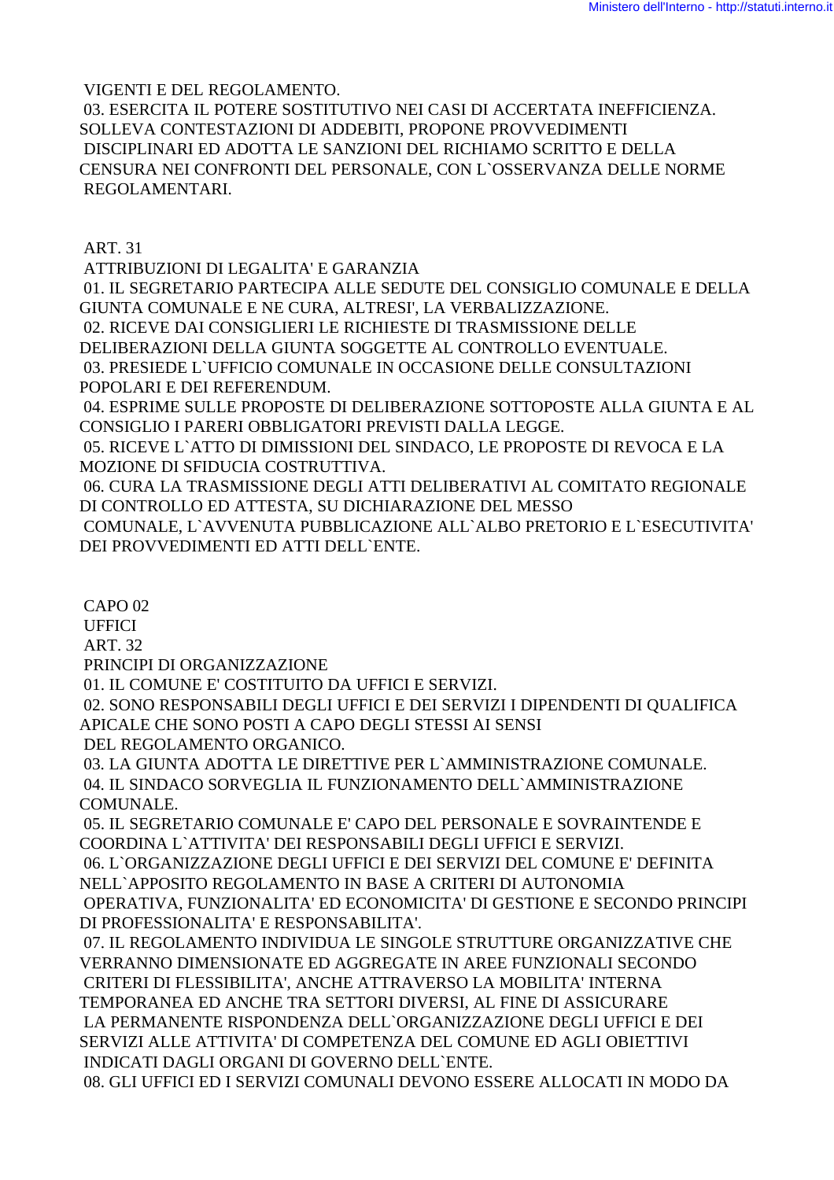VIGENTI E DEL REGOLAMENTO. 03. ESERCITA IL POTERE SOSTITUTIVO NEI CASI DI ACCERTATA INEFFICIENZA. SOLLEVA CONTESTAZIONI DI ADDEBITI, PROPONE PROVVEDIMENTI DISCIPLINARI ED ADOTTA LE SANZIONI DEL RICHIAMO SCRITTO E DELLA CENSURA NEI CONFRONTI DEL PERSONALE, CON L`OSSERVANZA DELLE NORME REGOLAMENTARI.

ART. 31

 ATTRIBUZIONI DI LEGALITA' E GARANZIA 01. IL SEGRETARIO PARTECIPA ALLE SEDUTE DEL CONSIGLIO COMUNALE E DELLA GIUNTA COMUNALE E NE CURA, ALTRESI', LA VERBALIZZAZIONE. 02. RICEVE DAI CONSIGLIERI LE RICHIESTE DI TRASMISSIONE DELLE DELIBERAZIONI DELLA GIUNTA SOGGETTE AL CONTROLLO EVENTUALE. 03. PRESIEDE L`UFFICIO COMUNALE IN OCCASIONE DELLE CONSULTAZIONI POPOLARI E DEI REFERENDUM.

 04. ESPRIME SULLE PROPOSTE DI DELIBERAZIONE SOTTOPOSTE ALLA GIUNTA E AL CONSIGLIO I PARERI OBBLIGATORI PREVISTI DALLA LEGGE.

 05. RICEVE L`ATTO DI DIMISSIONI DEL SINDACO, LE PROPOSTE DI REVOCA E LA MOZIONE DI SFIDUCIA COSTRUTTIVA.

 06. CURA LA TRASMISSIONE DEGLI ATTI DELIBERATIVI AL COMITATO REGIONALE DI CONTROLLO ED ATTESTA, SU DICHIARAZIONE DEL MESSO

 COMUNALE, L`AVVENUTA PUBBLICAZIONE ALL`ALBO PRETORIO E L`ESECUTIVITA' DEI PROVVEDIMENTI ED ATTI DELL`ENTE.

CAPO 02

**UFFICI** 

ART. 32

PRINCIPI DI ORGANIZZAZIONE

01. IL COMUNE E' COSTITUITO DA UFFICI E SERVIZI.

 02. SONO RESPONSABILI DEGLI UFFICI E DEI SERVIZI I DIPENDENTI DI QUALIFICA APICALE CHE SONO POSTI A CAPO DEGLI STESSI AI SENSI

DEL REGOLAMENTO ORGANICO.

 03. LA GIUNTA ADOTTA LE DIRETTIVE PER L`AMMINISTRAZIONE COMUNALE. 04. IL SINDACO SORVEGLIA IL FUNZIONAMENTO DELL`AMMINISTRAZIONE COMUNALE.

 05. IL SEGRETARIO COMUNALE E' CAPO DEL PERSONALE E SOVRAINTENDE E COORDINA L`ATTIVITA' DEI RESPONSABILI DEGLI UFFICI E SERVIZI.

 06. L`ORGANIZZAZIONE DEGLI UFFICI E DEI SERVIZI DEL COMUNE E' DEFINITA NELL`APPOSITO REGOLAMENTO IN BASE A CRITERI DI AUTONOMIA OPERATIVA, FUNZIONALITA' ED ECONOMICITA' DI GESTIONE E SECONDO PRINCIPI DI PROFESSIONALITA' E RESPONSABILITA'.

 07. IL REGOLAMENTO INDIVIDUA LE SINGOLE STRUTTURE ORGANIZZATIVE CHE VERRANNO DIMENSIONATE ED AGGREGATE IN AREE FUNZIONALI SECONDO CRITERI DI FLESSIBILITA', ANCHE ATTRAVERSO LA MOBILITA' INTERNA TEMPORANEA ED ANCHE TRA SETTORI DIVERSI, AL FINE DI ASSICURARE LA PERMANENTE RISPONDENZA DELL`ORGANIZZAZIONE DEGLI UFFICI E DEI SERVIZI ALLE ATTIVITA' DI COMPETENZA DEL COMUNE ED AGLI OBIETTIVI INDICATI DAGLI ORGANI DI GOVERNO DELL`ENTE.

08. GLI UFFICI ED I SERVIZI COMUNALI DEVONO ESSERE ALLOCATI IN MODO DA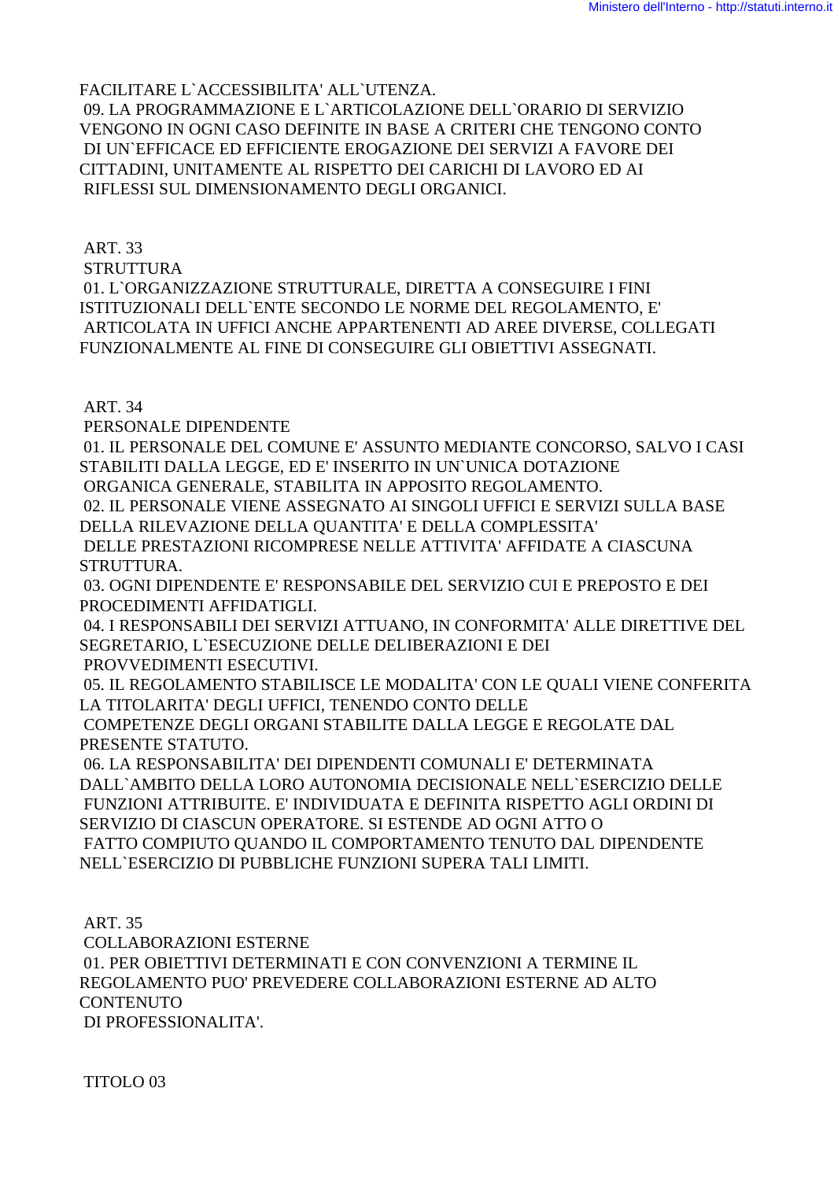FACILITARE L`ACCESSIBILITA' ALL`UTENZA.

 09. LA PROGRAMMAZIONE E L`ARTICOLAZIONE DELL`ORARIO DI SERVIZIO VENGONO IN OGNI CASO DEFINITE IN BASE A CRITERI CHE TENGONO CONTO DI UN`EFFICACE ED EFFICIENTE EROGAZIONE DEI SERVIZI A FAVORE DEI CITTADINI, UNITAMENTE AL RISPETTO DEI CARICHI DI LAVORO ED AI RIFLESSI SUL DIMENSIONAMENTO DEGLI ORGANICI.

ART. 33

STRUTTURA

 01. L`ORGANIZZAZIONE STRUTTURALE, DIRETTA A CONSEGUIRE I FINI ISTITUZIONALI DELL`ENTE SECONDO LE NORME DEL REGOLAMENTO, E' ARTICOLATA IN UFFICI ANCHE APPARTENENTI AD AREE DIVERSE, COLLEGATI FUNZIONALMENTE AL FINE DI CONSEGUIRE GLI OBIETTIVI ASSEGNATI.

ART. 34

PERSONALE DIPENDENTE

 01. IL PERSONALE DEL COMUNE E' ASSUNTO MEDIANTE CONCORSO, SALVO I CASI STABILITI DALLA LEGGE, ED E' INSERITO IN UN`UNICA DOTAZIONE

ORGANICA GENERALE, STABILITA IN APPOSITO REGOLAMENTO.

 02. IL PERSONALE VIENE ASSEGNATO AI SINGOLI UFFICI E SERVIZI SULLA BASE DELLA RILEVAZIONE DELLA QUANTITA' E DELLA COMPLESSITA'

 DELLE PRESTAZIONI RICOMPRESE NELLE ATTIVITA' AFFIDATE A CIASCUNA STRUTTURA.

 03. OGNI DIPENDENTE E' RESPONSABILE DEL SERVIZIO CUI E PREPOSTO E DEI PROCEDIMENTI AFFIDATIGLI.

 04. I RESPONSABILI DEI SERVIZI ATTUANO, IN CONFORMITA' ALLE DIRETTIVE DEL SEGRETARIO, L`ESECUZIONE DELLE DELIBERAZIONI E DEI PROVVEDIMENTI ESECUTIVI.

 05. IL REGOLAMENTO STABILISCE LE MODALITA' CON LE QUALI VIENE CONFERITA LA TITOLARITA' DEGLI UFFICI, TENENDO CONTO DELLE

 COMPETENZE DEGLI ORGANI STABILITE DALLA LEGGE E REGOLATE DAL PRESENTE STATUTO.

 06. LA RESPONSABILITA' DEI DIPENDENTI COMUNALI E' DETERMINATA DALL`AMBITO DELLA LORO AUTONOMIA DECISIONALE NELL`ESERCIZIO DELLE FUNZIONI ATTRIBUITE. E' INDIVIDUATA E DEFINITA RISPETTO AGLI ORDINI DI SERVIZIO DI CIASCUN OPERATORE. SI ESTENDE AD OGNI ATTO O FATTO COMPIUTO QUANDO IL COMPORTAMENTO TENUTO DAL DIPENDENTE NELL`ESERCIZIO DI PUBBLICHE FUNZIONI SUPERA TALI LIMITI.

 ART. 35 COLLABORAZIONI ESTERNE 01. PER OBIETTIVI DETERMINATI E CON CONVENZIONI A TERMINE IL REGOLAMENTO PUO' PREVEDERE COLLABORAZIONI ESTERNE AD ALTO **CONTENUTO** DI PROFESSIONALITA'.

TITOLO 03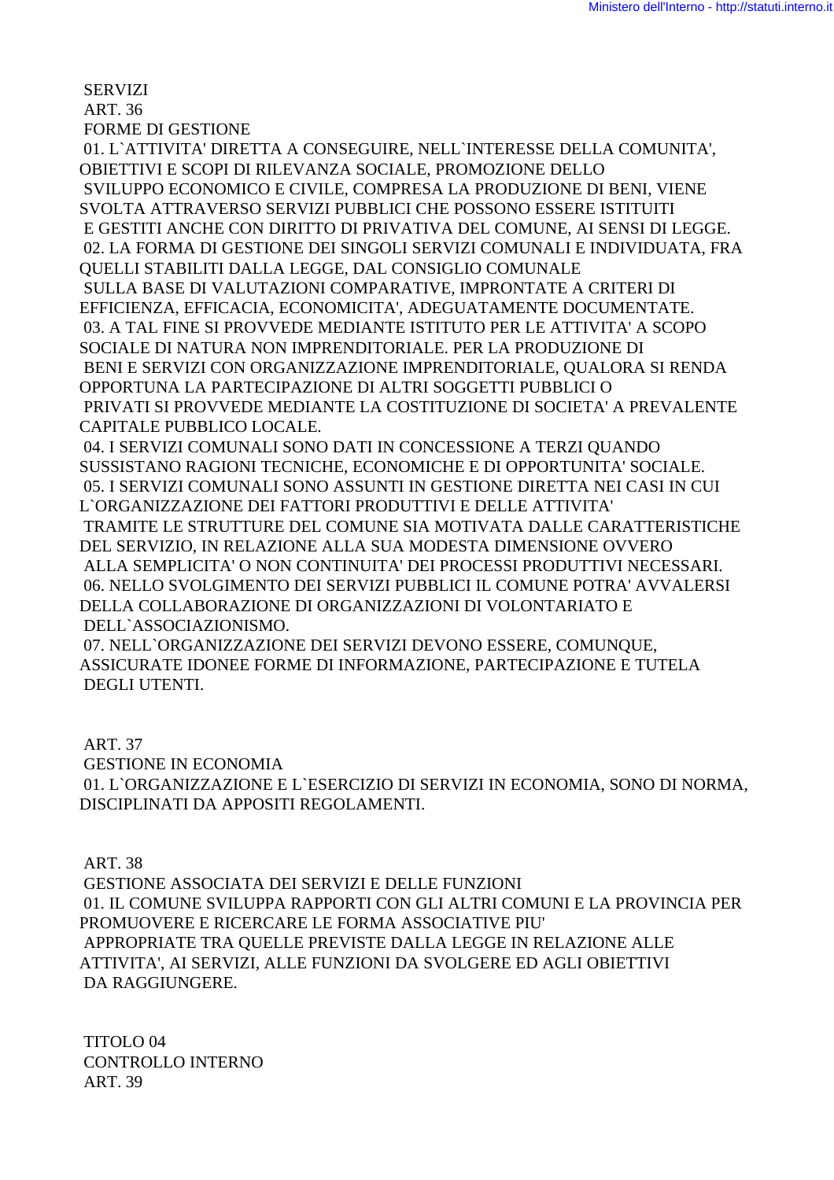SERVIZI ART. 36

FORME DI GESTIONE

 01. L`ATTIVITA' DIRETTA A CONSEGUIRE, NELL`INTERESSE DELLA COMUNITA', OBIETTIVI E SCOPI DI RILEVANZA SOCIALE, PROMOZIONE DELLO SVILUPPO ECONOMICO E CIVILE, COMPRESA LA PRODUZIONE DI BENI, VIENE SVOLTA ATTRAVERSO SERVIZI PUBBLICI CHE POSSONO ESSERE ISTITUITI E GESTITI ANCHE CON DIRITTO DI PRIVATIVA DEL COMUNE, AI SENSI DI LEGGE. 02. LA FORMA DI GESTIONE DEI SINGOLI SERVIZI COMUNALI E INDIVIDUATA, FRA QUELLI STABILITI DALLA LEGGE, DAL CONSIGLIO COMUNALE SULLA BASE DI VALUTAZIONI COMPARATIVE, IMPRONTATE A CRITERI DI EFFICIENZA, EFFICACIA, ECONOMICITA', ADEGUATAMENTE DOCUMENTATE. 03. A TAL FINE SI PROVVEDE MEDIANTE ISTITUTO PER LE ATTIVITA' A SCOPO SOCIALE DI NATURA NON IMPRENDITORIALE. PER LA PRODUZIONE DI BENI E SERVIZI CON ORGANIZZAZIONE IMPRENDITORIALE, QUALORA SI RENDA OPPORTUNA LA PARTECIPAZIONE DI ALTRI SOGGETTI PUBBLICI O PRIVATI SI PROVVEDE MEDIANTE LA COSTITUZIONE DI SOCIETA' A PREVALENTE CAPITALE PUBBLICO LOCALE.

 04. I SERVIZI COMUNALI SONO DATI IN CONCESSIONE A TERZI QUANDO SUSSISTANO RAGIONI TECNICHE, ECONOMICHE E DI OPPORTUNITA' SOCIALE. 05. I SERVIZI COMUNALI SONO ASSUNTI IN GESTIONE DIRETTA NEI CASI IN CUI L`ORGANIZZAZIONE DEI FATTORI PRODUTTIVI E DELLE ATTIVITA' TRAMITE LE STRUTTURE DEL COMUNE SIA MOTIVATA DALLE CARATTERISTICHE DEL SERVIZIO, IN RELAZIONE ALLA SUA MODESTA DIMENSIONE OVVERO ALLA SEMPLICITA' O NON CONTINUITA' DEI PROCESSI PRODUTTIVI NECESSARI. 06. NELLO SVOLGIMENTO DEI SERVIZI PUBBLICI IL COMUNE POTRA' AVVALERSI DELLA COLLABORAZIONE DI ORGANIZZAZIONI DI VOLONTARIATO E DELL`ASSOCIAZIONISMO.

 07. NELL`ORGANIZZAZIONE DEI SERVIZI DEVONO ESSERE, COMUNQUE, ASSICURATE IDONEE FORME DI INFORMAZIONE, PARTECIPAZIONE E TUTELA DEGLI UTENTI.

ART. 37

GESTIONE IN ECONOMIA

 01. L`ORGANIZZAZIONE E L`ESERCIZIO DI SERVIZI IN ECONOMIA, SONO DI NORMA, DISCIPLINATI DA APPOSITI REGOLAMENTI.

ART. 38

 GESTIONE ASSOCIATA DEI SERVIZI E DELLE FUNZIONI 01. IL COMUNE SVILUPPA RAPPORTI CON GLI ALTRI COMUNI E LA PROVINCIA PER PROMUOVERE E RICERCARE LE FORMA ASSOCIATIVE PIU' APPROPRIATE TRA QUELLE PREVISTE DALLA LEGGE IN RELAZIONE ALLE ATTIVITA', AI SERVIZI, ALLE FUNZIONI DA SVOLGERE ED AGLI OBIETTIVI DA RAGGIUNGERE.

 TITOLO 04 CONTROLLO INTERNO ART. 39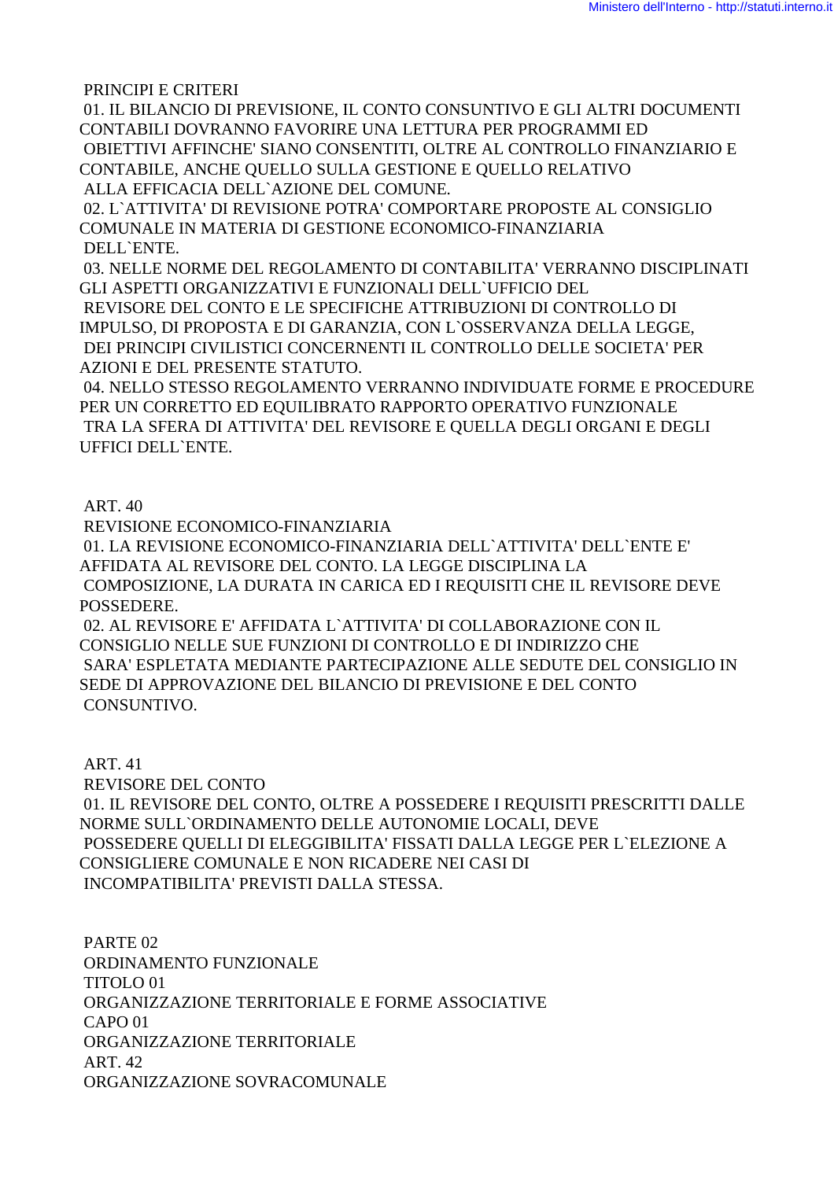PRINCIPI E CRITERI

 01. IL BILANCIO DI PREVISIONE, IL CONTO CONSUNTIVO E GLI ALTRI DOCUMENTI CONTABILI DOVRANNO FAVORIRE UNA LETTURA PER PROGRAMMI ED OBIETTIVI AFFINCHE' SIANO CONSENTITI, OLTRE AL CONTROLLO FINANZIARIO E CONTABILE, ANCHE QUELLO SULLA GESTIONE E QUELLO RELATIVO ALLA EFFICACIA DELL`AZIONE DEL COMUNE.

 02. L`ATTIVITA' DI REVISIONE POTRA' COMPORTARE PROPOSTE AL CONSIGLIO COMUNALE IN MATERIA DI GESTIONE ECONOMICO-FINANZIARIA DELL`ENTE.

 03. NELLE NORME DEL REGOLAMENTO DI CONTABILITA' VERRANNO DISCIPLINATI GLI ASPETTI ORGANIZZATIVI E FUNZIONALI DELL`UFFICIO DEL REVISORE DEL CONTO E LE SPECIFICHE ATTRIBUZIONI DI CONTROLLO DI IMPULSO, DI PROPOSTA E DI GARANZIA, CON L`OSSERVANZA DELLA LEGGE, DEI PRINCIPI CIVILISTICI CONCERNENTI IL CONTROLLO DELLE SOCIETA' PER AZIONI E DEL PRESENTE STATUTO.

 04. NELLO STESSO REGOLAMENTO VERRANNO INDIVIDUATE FORME E PROCEDURE PER UN CORRETTO ED EQUILIBRATO RAPPORTO OPERATIVO FUNZIONALE TRA LA SFERA DI ATTIVITA' DEL REVISORE E QUELLA DEGLI ORGANI E DEGLI UFFICI DELL`ENTE.

ART. 40

REVISIONE ECONOMICO-FINANZIARIA

 01. LA REVISIONE ECONOMICO-FINANZIARIA DELL`ATTIVITA' DELL`ENTE E' AFFIDATA AL REVISORE DEL CONTO. LA LEGGE DISCIPLINA LA COMPOSIZIONE, LA DURATA IN CARICA ED I REQUISITI CHE IL REVISORE DEVE POSSEDERE.

 02. AL REVISORE E' AFFIDATA L`ATTIVITA' DI COLLABORAZIONE CON IL CONSIGLIO NELLE SUE FUNZIONI DI CONTROLLO E DI INDIRIZZO CHE SARA' ESPLETATA MEDIANTE PARTECIPAZIONE ALLE SEDUTE DEL CONSIGLIO IN SEDE DI APPROVAZIONE DEL BILANCIO DI PREVISIONE E DEL CONTO CONSUNTIVO.

 ART. 41 REVISORE DEL CONTO 01. IL REVISORE DEL CONTO, OLTRE A POSSEDERE I REQUISITI PRESCRITTI DALLE NORME SULL`ORDINAMENTO DELLE AUTONOMIE LOCALI, DEVE POSSEDERE QUELLI DI ELEGGIBILITA' FISSATI DALLA LEGGE PER L`ELEZIONE A CONSIGLIERE COMUNALE E NON RICADERE NEI CASI DI INCOMPATIBILITA' PREVISTI DALLA STESSA.

 PARTE 02 ORDINAMENTO FUNZIONALE TITOLO 01 ORGANIZZAZIONE TERRITORIALE E FORME ASSOCIATIVE CAPO 01 ORGANIZZAZIONE TERRITORIALE ART. 42 ORGANIZZAZIONE SOVRACOMUNALE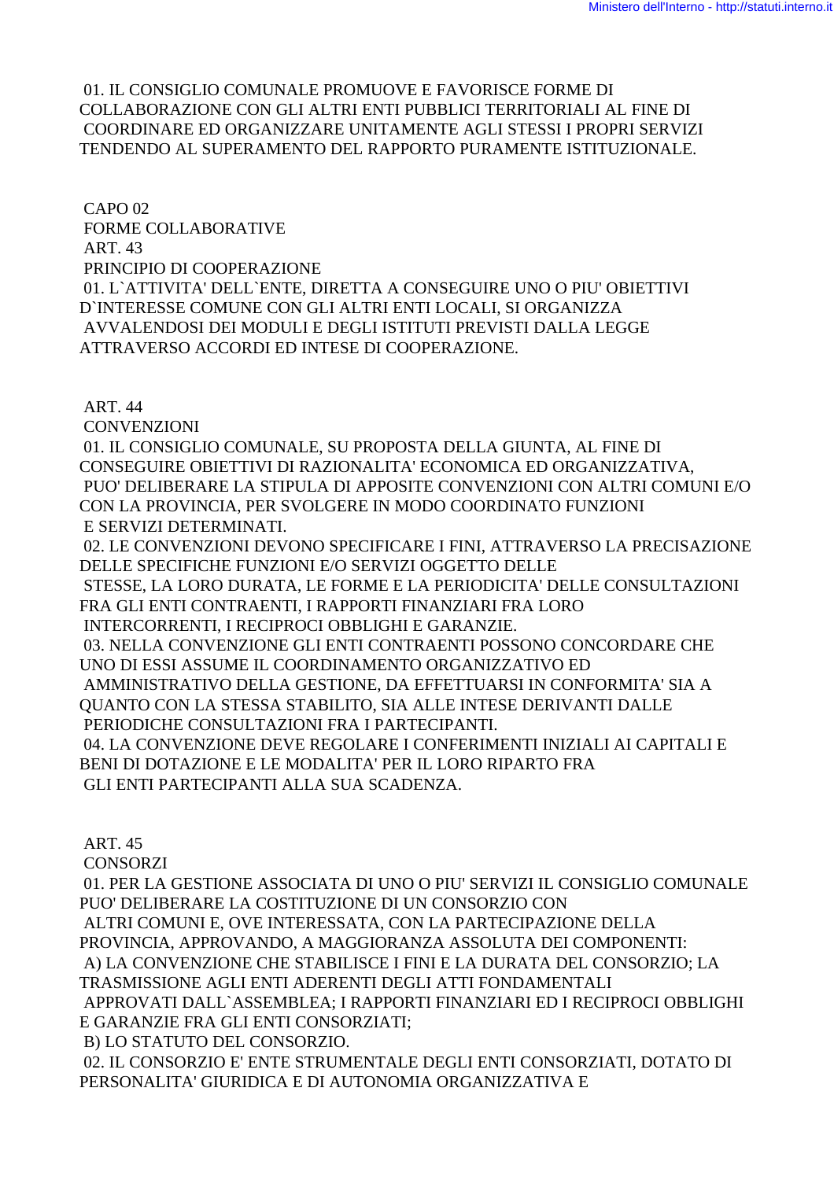### 01. IL CONSIGLIO COMUNALE PROMUOVE E FAVORISCE FORME DI COLLABORAZIONE CON GLI ALTRI ENTI PUBBLICI TERRITORIALI AL FINE DI COORDINARE ED ORGANIZZARE UNITAMENTE AGLI STESSI I PROPRI SERVIZI TENDENDO AL SUPERAMENTO DEL RAPPORTO PURAMENTE ISTITUZIONALE.

 CAPO 02 FORME COLLABORATIVE ART. 43 PRINCIPIO DI COOPERAZIONE 01. L`ATTIVITA' DELL`ENTE, DIRETTA A CONSEGUIRE UNO O PIU' OBIETTIVI D`INTERESSE COMUNE CON GLI ALTRI ENTI LOCALI, SI ORGANIZZA AVVALENDOSI DEI MODULI E DEGLI ISTITUTI PREVISTI DALLA LEGGE ATTRAVERSO ACCORDI ED INTESE DI COOPERAZIONE.

ART. 44

**CONVENZIONI** 

 01. IL CONSIGLIO COMUNALE, SU PROPOSTA DELLA GIUNTA, AL FINE DI CONSEGUIRE OBIETTIVI DI RAZIONALITA' ECONOMICA ED ORGANIZZATIVA, PUO' DELIBERARE LA STIPULA DI APPOSITE CONVENZIONI CON ALTRI COMUNI E/O CON LA PROVINCIA, PER SVOLGERE IN MODO COORDINATO FUNZIONI E SERVIZI DETERMINATI.

 02. LE CONVENZIONI DEVONO SPECIFICARE I FINI, ATTRAVERSO LA PRECISAZIONE DELLE SPECIFICHE FUNZIONI E/O SERVIZI OGGETTO DELLE STESSE, LA LORO DURATA, LE FORME E LA PERIODICITA' DELLE CONSULTAZIONI FRA GLI ENTI CONTRAENTI, I RAPPORTI FINANZIARI FRA LORO INTERCORRENTI, I RECIPROCI OBBLIGHI E GARANZIE. 03. NELLA CONVENZIONE GLI ENTI CONTRAENTI POSSONO CONCORDARE CHE UNO DI ESSI ASSUME IL COORDINAMENTO ORGANIZZATIVO ED AMMINISTRATIVO DELLA GESTIONE, DA EFFETTUARSI IN CONFORMITA' SIA A QUANTO CON LA STESSA STABILITO, SIA ALLE INTESE DERIVANTI DALLE PERIODICHE CONSULTAZIONI FRA I PARTECIPANTI. 04. LA CONVENZIONE DEVE REGOLARE I CONFERIMENTI INIZIALI AI CAPITALI E BENI DI DOTAZIONE E LE MODALITA' PER IL LORO RIPARTO FRA

GLI ENTI PARTECIPANTI ALLA SUA SCADENZA.

ART. 45

**CONSORZI** 

 01. PER LA GESTIONE ASSOCIATA DI UNO O PIU' SERVIZI IL CONSIGLIO COMUNALE PUO' DELIBERARE LA COSTITUZIONE DI UN CONSORZIO CON ALTRI COMUNI E, OVE INTERESSATA, CON LA PARTECIPAZIONE DELLA PROVINCIA, APPROVANDO, A MAGGIORANZA ASSOLUTA DEI COMPONENTI: A) LA CONVENZIONE CHE STABILISCE I FINI E LA DURATA DEL CONSORZIO; LA TRASMISSIONE AGLI ENTI ADERENTI DEGLI ATTI FONDAMENTALI APPROVATI DALL`ASSEMBLEA; I RAPPORTI FINANZIARI ED I RECIPROCI OBBLIGHI E GARANZIE FRA GLI ENTI CONSORZIATI; B) LO STATUTO DEL CONSORZIO. 02. IL CONSORZIO E' ENTE STRUMENTALE DEGLI ENTI CONSORZIATI, DOTATO DI PERSONALITA' GIURIDICA E DI AUTONOMIA ORGANIZZATIVA E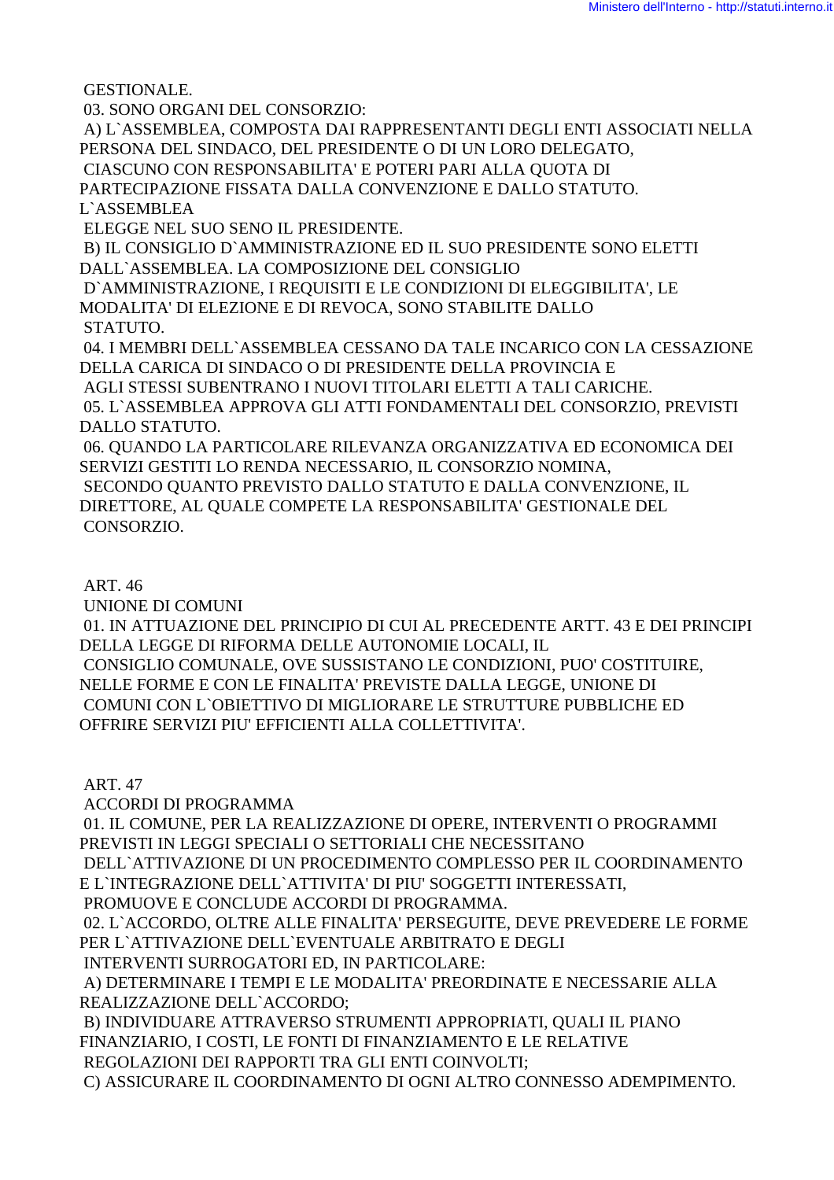GESTIONALE. 03. SONO ORGANI DEL CONSORZIO: A) L`ASSEMBLEA, COMPOSTA DAI RAPPRESENTANTI DEGLI ENTI ASSOCIATI NELLA PERSONA DEL SINDACO, DEL PRESIDENTE O DI UN LORO DELEGATO, CIASCUNO CON RESPONSABILITA' E POTERI PARI ALLA QUOTA DI PARTECIPAZIONE FISSATA DALLA CONVENZIONE E DALLO STATUTO. L`ASSEMBLEA ELEGGE NEL SUO SENO IL PRESIDENTE. B) IL CONSIGLIO D`AMMINISTRAZIONE ED IL SUO PRESIDENTE SONO ELETTI DALL`ASSEMBLEA. LA COMPOSIZIONE DEL CONSIGLIO D`AMMINISTRAZIONE, I REQUISITI E LE CONDIZIONI DI ELEGGIBILITA', LE MODALITA' DI ELEZIONE E DI REVOCA, SONO STABILITE DALLO STATUTO. 04. I MEMBRI DELL`ASSEMBLEA CESSANO DA TALE INCARICO CON LA CESSAZIONE DELLA CARICA DI SINDACO O DI PRESIDENTE DELLA PROVINCIA E AGLI STESSI SUBENTRANO I NUOVI TITOLARI ELETTI A TALI CARICHE. 05. L`ASSEMBLEA APPROVA GLI ATTI FONDAMENTALI DEL CONSORZIO, PREVISTI DALLO STATUTO. 06. QUANDO LA PARTICOLARE RILEVANZA ORGANIZZATIVA ED ECONOMICA DEI SERVIZI GESTITI LO RENDA NECESSARIO, IL CONSORZIO NOMINA, SECONDO QUANTO PREVISTO DALLO STATUTO E DALLA CONVENZIONE, IL

DIRETTORE, AL QUALE COMPETE LA RESPONSABILITA' GESTIONALE DEL CONSORZIO.

ART. 46

UNIONE DI COMUNI

 01. IN ATTUAZIONE DEL PRINCIPIO DI CUI AL PRECEDENTE ARTT. 43 E DEI PRINCIPI DELLA LEGGE DI RIFORMA DELLE AUTONOMIE LOCALI, IL CONSIGLIO COMUNALE, OVE SUSSISTANO LE CONDIZIONI, PUO' COSTITUIRE, NELLE FORME E CON LE FINALITA' PREVISTE DALLA LEGGE, UNIONE DI COMUNI CON L`OBIETTIVO DI MIGLIORARE LE STRUTTURE PUBBLICHE ED OFFRIRE SERVIZI PIU' EFFICIENTI ALLA COLLETTIVITA'.

ART. 47

ACCORDI DI PROGRAMMA

 01. IL COMUNE, PER LA REALIZZAZIONE DI OPERE, INTERVENTI O PROGRAMMI PREVISTI IN LEGGI SPECIALI O SETTORIALI CHE NECESSITANO

 DELL`ATTIVAZIONE DI UN PROCEDIMENTO COMPLESSO PER IL COORDINAMENTO E L`INTEGRAZIONE DELL`ATTIVITA' DI PIU' SOGGETTI INTERESSATI,

PROMUOVE E CONCLUDE ACCORDI DI PROGRAMMA.

 02. L`ACCORDO, OLTRE ALLE FINALITA' PERSEGUITE, DEVE PREVEDERE LE FORME PER L`ATTIVAZIONE DELL`EVENTUALE ARBITRATO E DEGLI

INTERVENTI SURROGATORI ED, IN PARTICOLARE:

 A) DETERMINARE I TEMPI E LE MODALITA' PREORDINATE E NECESSARIE ALLA REALIZZAZIONE DELL`ACCORDO;

 B) INDIVIDUARE ATTRAVERSO STRUMENTI APPROPRIATI, QUALI IL PIANO FINANZIARIO, I COSTI, LE FONTI DI FINANZIAMENTO E LE RELATIVE REGOLAZIONI DEI RAPPORTI TRA GLI ENTI COINVOLTI;

C) ASSICURARE IL COORDINAMENTO DI OGNI ALTRO CONNESSO ADEMPIMENTO.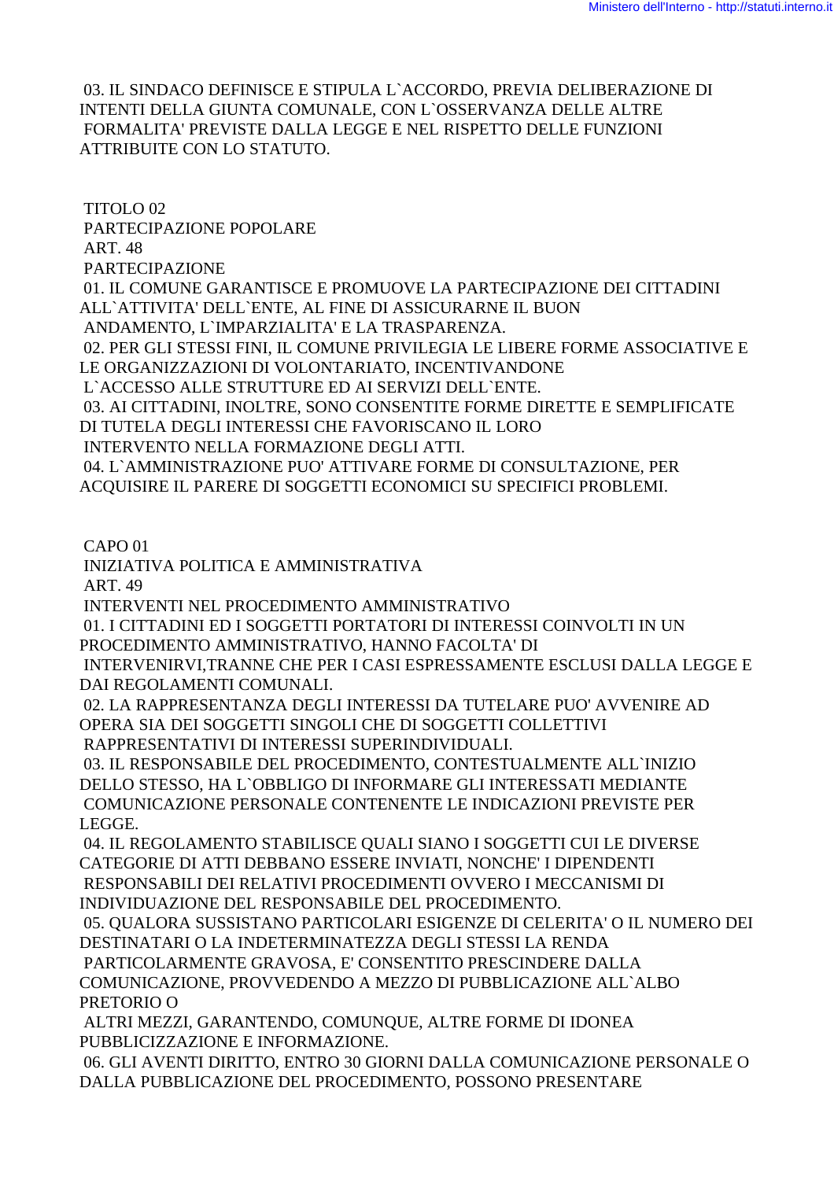03. IL SINDACO DEFINISCE E STIPULA L`ACCORDO, PREVIA DELIBERAZIONE DI INTENTI DELLA GIUNTA COMUNALE, CON L`OSSERVANZA DELLE ALTRE FORMALITA' PREVISTE DALLA LEGGE E NEL RISPETTO DELLE FUNZIONI ATTRIBUITE CON LO STATUTO.

 TITOLO 02 PARTECIPAZIONE POPOLARE ART. 48 PARTECIPAZIONE 01. IL COMUNE GARANTISCE E PROMUOVE LA PARTECIPAZIONE DEI CITTADINI ALL`ATTIVITA' DELL`ENTE, AL FINE DI ASSICURARNE IL BUON ANDAMENTO, L`IMPARZIALITA' E LA TRASPARENZA. 02. PER GLI STESSI FINI, IL COMUNE PRIVILEGIA LE LIBERE FORME ASSOCIATIVE E LE ORGANIZZAZIONI DI VOLONTARIATO, INCENTIVANDONE L`ACCESSO ALLE STRUTTURE ED AI SERVIZI DELL`ENTE. 03. AI CITTADINI, INOLTRE, SONO CONSENTITE FORME DIRETTE E SEMPLIFICATE DI TUTELA DEGLI INTERESSI CHE FAVORISCANO IL LORO INTERVENTO NELLA FORMAZIONE DEGLI ATTI. 04. L`AMMINISTRAZIONE PUO' ATTIVARE FORME DI CONSULTAZIONE, PER ACQUISIRE IL PARERE DI SOGGETTI ECONOMICI SU SPECIFICI PROBLEMI.

CAPO 01

INIZIATIVA POLITICA E AMMINISTRATIVA

ART. 49

INTERVENTI NEL PROCEDIMENTO AMMINISTRATIVO

 01. I CITTADINI ED I SOGGETTI PORTATORI DI INTERESSI COINVOLTI IN UN PROCEDIMENTO AMMINISTRATIVO, HANNO FACOLTA' DI

 INTERVENIRVI,TRANNE CHE PER I CASI ESPRESSAMENTE ESCLUSI DALLA LEGGE E DAI REGOLAMENTI COMUNALI.

 02. LA RAPPRESENTANZA DEGLI INTERESSI DA TUTELARE PUO' AVVENIRE AD OPERA SIA DEI SOGGETTI SINGOLI CHE DI SOGGETTI COLLETTIVI RAPPRESENTATIVI DI INTERESSI SUPERINDIVIDUALI.

 03. IL RESPONSABILE DEL PROCEDIMENTO, CONTESTUALMENTE ALL`INIZIO DELLO STESSO, HA L`OBBLIGO DI INFORMARE GLI INTERESSATI MEDIANTE COMUNICAZIONE PERSONALE CONTENENTE LE INDICAZIONI PREVISTE PER LEGGE.

 04. IL REGOLAMENTO STABILISCE QUALI SIANO I SOGGETTI CUI LE DIVERSE CATEGORIE DI ATTI DEBBANO ESSERE INVIATI, NONCHE' I DIPENDENTI RESPONSABILI DEI RELATIVI PROCEDIMENTI OVVERO I MECCANISMI DI INDIVIDUAZIONE DEL RESPONSABILE DEL PROCEDIMENTO.

 05. QUALORA SUSSISTANO PARTICOLARI ESIGENZE DI CELERITA' O IL NUMERO DEI DESTINATARI O LA INDETERMINATEZZA DEGLI STESSI LA RENDA

 PARTICOLARMENTE GRAVOSA, E' CONSENTITO PRESCINDERE DALLA COMUNICAZIONE, PROVVEDENDO A MEZZO DI PUBBLICAZIONE ALL`ALBO PRETORIO O

 ALTRI MEZZI, GARANTENDO, COMUNQUE, ALTRE FORME DI IDONEA PUBBLICIZZAZIONE E INFORMAZIONE.

 06. GLI AVENTI DIRITTO, ENTRO 30 GIORNI DALLA COMUNICAZIONE PERSONALE O DALLA PUBBLICAZIONE DEL PROCEDIMENTO, POSSONO PRESENTARE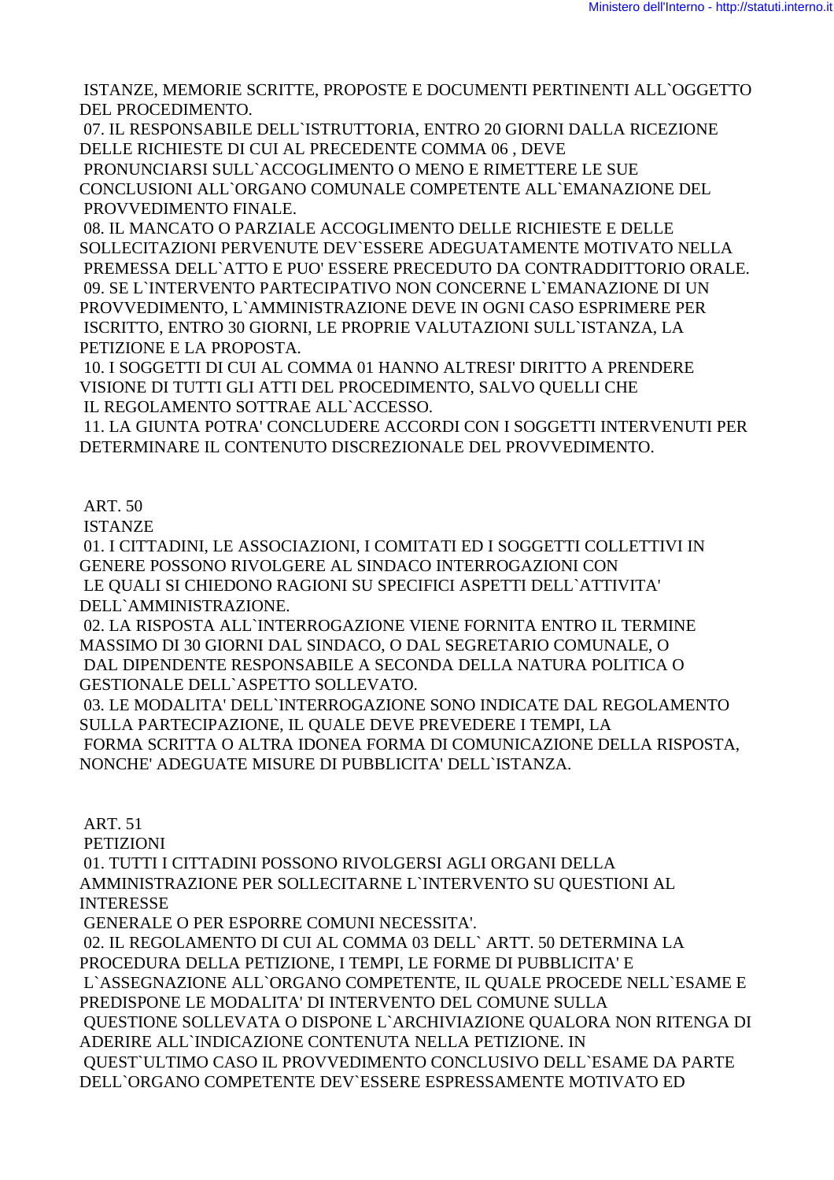ISTANZE, MEMORIE SCRITTE, PROPOSTE E DOCUMENTI PERTINENTI ALL`OGGETTO DEL PROCEDIMENTO.

 07. IL RESPONSABILE DELL`ISTRUTTORIA, ENTRO 20 GIORNI DALLA RICEZIONE DELLE RICHIESTE DI CUI AL PRECEDENTE COMMA 06 , DEVE

 PRONUNCIARSI SULL`ACCOGLIMENTO O MENO E RIMETTERE LE SUE CONCLUSIONI ALL`ORGANO COMUNALE COMPETENTE ALL`EMANAZIONE DEL PROVVEDIMENTO FINALE.

 08. IL MANCATO O PARZIALE ACCOGLIMENTO DELLE RICHIESTE E DELLE SOLLECITAZIONI PERVENUTE DEV`ESSERE ADEGUATAMENTE MOTIVATO NELLA PREMESSA DELL`ATTO E PUO' ESSERE PRECEDUTO DA CONTRADDITTORIO ORALE. 09. SE L`INTERVENTO PARTECIPATIVO NON CONCERNE L`EMANAZIONE DI UN PROVVEDIMENTO, L`AMMINISTRAZIONE DEVE IN OGNI CASO ESPRIMERE PER ISCRITTO, ENTRO 30 GIORNI, LE PROPRIE VALUTAZIONI SULL`ISTANZA, LA PETIZIONE E LA PROPOSTA.

 10. I SOGGETTI DI CUI AL COMMA 01 HANNO ALTRESI' DIRITTO A PRENDERE VISIONE DI TUTTI GLI ATTI DEL PROCEDIMENTO, SALVO QUELLI CHE IL REGOLAMENTO SOTTRAE ALL`ACCESSO.

 11. LA GIUNTA POTRA' CONCLUDERE ACCORDI CON I SOGGETTI INTERVENUTI PER DETERMINARE IL CONTENUTO DISCREZIONALE DEL PROVVEDIMENTO.

ART. 50

ISTANZE

 01. I CITTADINI, LE ASSOCIAZIONI, I COMITATI ED I SOGGETTI COLLETTIVI IN GENERE POSSONO RIVOLGERE AL SINDACO INTERROGAZIONI CON LE QUALI SI CHIEDONO RAGIONI SU SPECIFICI ASPETTI DELL`ATTIVITA' DELL`AMMINISTRAZIONE.

 02. LA RISPOSTA ALL`INTERROGAZIONE VIENE FORNITA ENTRO IL TERMINE MASSIMO DI 30 GIORNI DAL SINDACO, O DAL SEGRETARIO COMUNALE, O DAL DIPENDENTE RESPONSABILE A SECONDA DELLA NATURA POLITICA O GESTIONALE DELL`ASPETTO SOLLEVATO.

 03. LE MODALITA' DELL`INTERROGAZIONE SONO INDICATE DAL REGOLAMENTO SULLA PARTECIPAZIONE, IL QUALE DEVE PREVEDERE I TEMPI, LA FORMA SCRITTA O ALTRA IDONEA FORMA DI COMUNICAZIONE DELLA RISPOSTA, NONCHE' ADEGUATE MISURE DI PUBBLICITA' DELL`ISTANZA.

ART. 51

PETIZIONI

 01. TUTTI I CITTADINI POSSONO RIVOLGERSI AGLI ORGANI DELLA AMMINISTRAZIONE PER SOLLECITARNE L`INTERVENTO SU QUESTIONI AL INTERESSE

GENERALE O PER ESPORRE COMUNI NECESSITA'.

 02. IL REGOLAMENTO DI CUI AL COMMA 03 DELL` ARTT. 50 DETERMINA LA PROCEDURA DELLA PETIZIONE, I TEMPI, LE FORME DI PUBBLICITA' E L`ASSEGNAZIONE ALL`ORGANO COMPETENTE, IL QUALE PROCEDE NELL`ESAME E PREDISPONE LE MODALITA' DI INTERVENTO DEL COMUNE SULLA QUESTIONE SOLLEVATA O DISPONE L`ARCHIVIAZIONE QUALORA NON RITENGA DI ADERIRE ALL`INDICAZIONE CONTENUTA NELLA PETIZIONE. IN QUEST`ULTIMO CASO IL PROVVEDIMENTO CONCLUSIVO DELL`ESAME DA PARTE DELL`ORGANO COMPETENTE DEV`ESSERE ESPRESSAMENTE MOTIVATO ED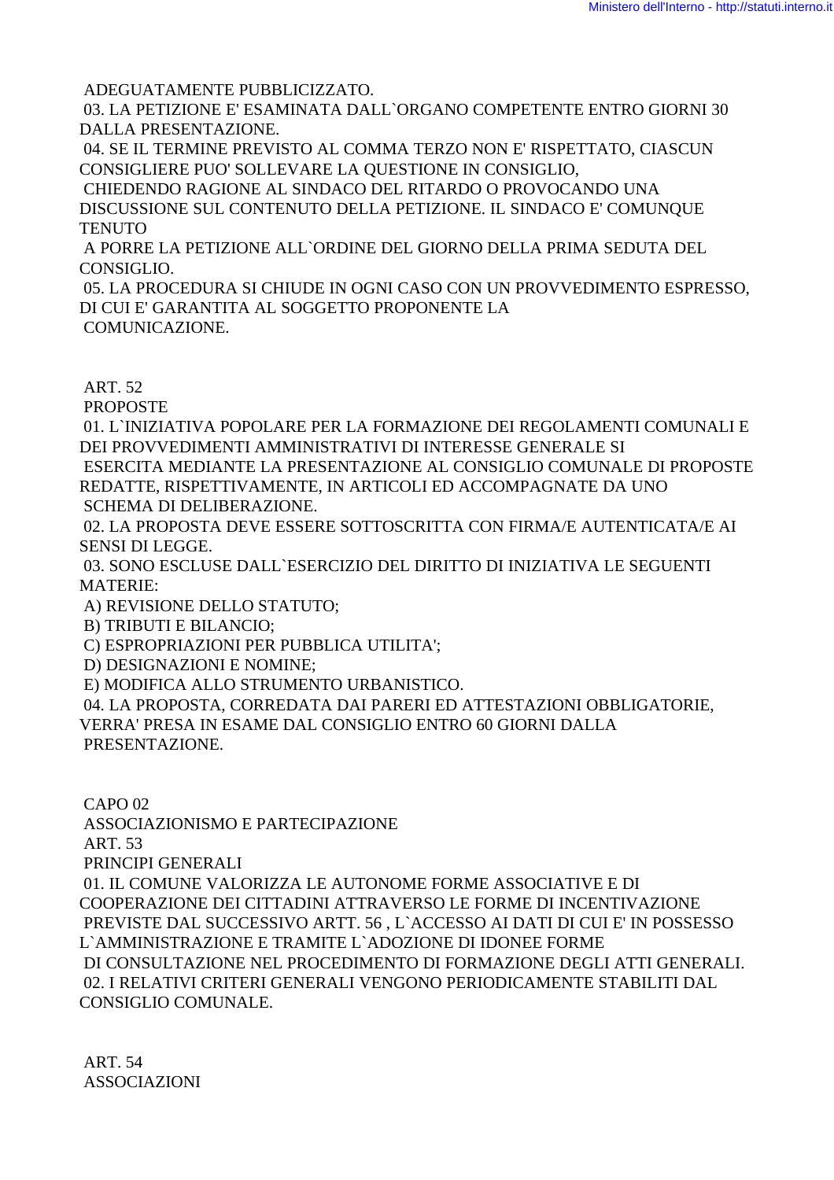ADEGUATAMENTE PUBBLICIZZATO.

 03. LA PETIZIONE E' ESAMINATA DALL`ORGANO COMPETENTE ENTRO GIORNI 30 DALLA PRESENTAZIONE.

 04. SE IL TERMINE PREVISTO AL COMMA TERZO NON E' RISPETTATO, CIASCUN CONSIGLIERE PUO' SOLLEVARE LA QUESTIONE IN CONSIGLIO,

 CHIEDENDO RAGIONE AL SINDACO DEL RITARDO O PROVOCANDO UNA DISCUSSIONE SUL CONTENUTO DELLA PETIZIONE. IL SINDACO E' COMUNQUE **TENUTO** 

 A PORRE LA PETIZIONE ALL`ORDINE DEL GIORNO DELLA PRIMA SEDUTA DEL CONSIGLIO.

 05. LA PROCEDURA SI CHIUDE IN OGNI CASO CON UN PROVVEDIMENTO ESPRESSO, DI CUI E' GARANTITA AL SOGGETTO PROPONENTE LA COMUNICAZIONE.

ART. 52

PROPOSTE

 01. L`INIZIATIVA POPOLARE PER LA FORMAZIONE DEI REGOLAMENTI COMUNALI E DEI PROVVEDIMENTI AMMINISTRATIVI DI INTERESSE GENERALE SI ESERCITA MEDIANTE LA PRESENTAZIONE AL CONSIGLIO COMUNALE DI PROPOSTE

REDATTE, RISPETTIVAMENTE, IN ARTICOLI ED ACCOMPAGNATE DA UNO SCHEMA DI DELIBERAZIONE.

 02. LA PROPOSTA DEVE ESSERE SOTTOSCRITTA CON FIRMA/E AUTENTICATA/E AI SENSI DI LEGGE.

 03. SONO ESCLUSE DALL`ESERCIZIO DEL DIRITTO DI INIZIATIVA LE SEGUENTI MATERIE:

A) REVISIONE DELLO STATUTO;

B) TRIBUTI E BILANCIO;

C) ESPROPRIAZIONI PER PUBBLICA UTILITA';

D) DESIGNAZIONI E NOMINE;

E) MODIFICA ALLO STRUMENTO URBANISTICO.

 04. LA PROPOSTA, CORREDATA DAI PARERI ED ATTESTAZIONI OBBLIGATORIE, VERRA' PRESA IN ESAME DAL CONSIGLIO ENTRO 60 GIORNI DALLA PRESENTAZIONE.

 CAPO 02 ASSOCIAZIONISMO E PARTECIPAZIONE ART. 53 PRINCIPI GENERALI 01. IL COMUNE VALORIZZA LE AUTONOME FORME ASSOCIATIVE E DI COOPERAZIONE DEI CITTADINI ATTRAVERSO LE FORME DI INCENTIVAZIONE PREVISTE DAL SUCCESSIVO ARTT. 56 , L`ACCESSO AI DATI DI CUI E' IN POSSESSO L`AMMINISTRAZIONE E TRAMITE L`ADOZIONE DI IDONEE FORME DI CONSULTAZIONE NEL PROCEDIMENTO DI FORMAZIONE DEGLI ATTI GENERALI. 02. I RELATIVI CRITERI GENERALI VENGONO PERIODICAMENTE STABILITI DAL CONSIGLIO COMUNALE.

 ART. 54 ASSOCIAZIONI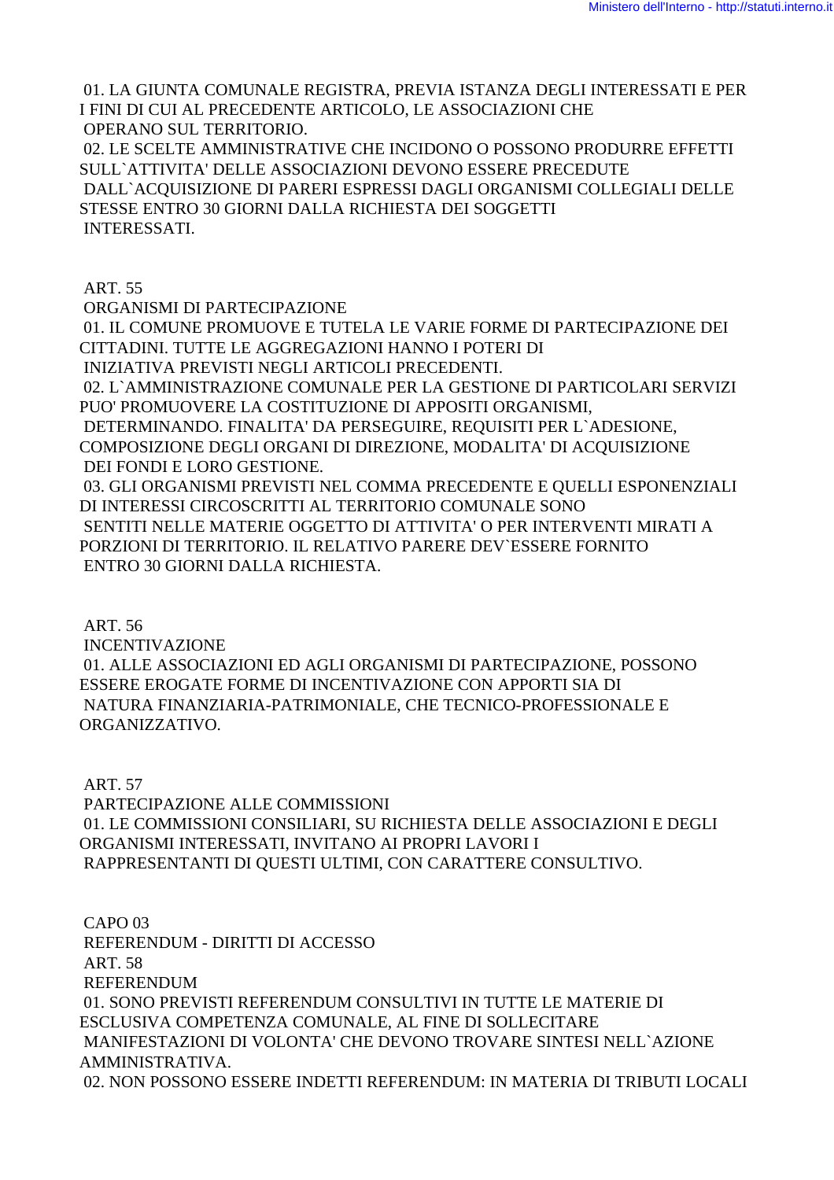01. LA GIUNTA COMUNALE REGISTRA, PREVIA ISTANZA DEGLI INTERESSATI E PER I FINI DI CUI AL PRECEDENTE ARTICOLO, LE ASSOCIAZIONI CHE OPERANO SUL TERRITORIO. 02. LE SCELTE AMMINISTRATIVE CHE INCIDONO O POSSONO PRODURRE EFFETTI SULL`ATTIVITA' DELLE ASSOCIAZIONI DEVONO ESSERE PRECEDUTE DALL`ACQUISIZIONE DI PARERI ESPRESSI DAGLI ORGANISMI COLLEGIALI DELLE STESSE ENTRO 30 GIORNI DALLA RICHIESTA DEI SOGGETTI INTERESSATI.

 ART. 55 ORGANISMI DI PARTECIPAZIONE 01. IL COMUNE PROMUOVE E TUTELA LE VARIE FORME DI PARTECIPAZIONE DEI CITTADINI. TUTTE LE AGGREGAZIONI HANNO I POTERI DI INIZIATIVA PREVISTI NEGLI ARTICOLI PRECEDENTI. 02. L`AMMINISTRAZIONE COMUNALE PER LA GESTIONE DI PARTICOLARI SERVIZI PUO' PROMUOVERE LA COSTITUZIONE DI APPOSITI ORGANISMI, DETERMINANDO. FINALITA' DA PERSEGUIRE, REQUISITI PER L`ADESIONE, COMPOSIZIONE DEGLI ORGANI DI DIREZIONE, MODALITA' DI ACQUISIZIONE DEI FONDI E LORO GESTIONE. 03. GLI ORGANISMI PREVISTI NEL COMMA PRECEDENTE E QUELLI ESPONENZIALI DI INTERESSI CIRCOSCRITTI AL TERRITORIO COMUNALE SONO SENTITI NELLE MATERIE OGGETTO DI ATTIVITA' O PER INTERVENTI MIRATI A PORZIONI DI TERRITORIO. IL RELATIVO PARERE DEV`ESSERE FORNITO ENTRO 30 GIORNI DALLA RICHIESTA.

 ART. 56 INCENTIVAZIONE 01. ALLE ASSOCIAZIONI ED AGLI ORGANISMI DI PARTECIPAZIONE, POSSONO ESSERE EROGATE FORME DI INCENTIVAZIONE CON APPORTI SIA DI NATURA FINANZIARIA-PATRIMONIALE, CHE TECNICO-PROFESSIONALE E ORGANIZZATIVO.

 ART. 57 PARTECIPAZIONE ALLE COMMISSIONI 01. LE COMMISSIONI CONSILIARI, SU RICHIESTA DELLE ASSOCIAZIONI E DEGLI ORGANISMI INTERESSATI, INVITANO AI PROPRI LAVORI I RAPPRESENTANTI DI QUESTI ULTIMI, CON CARATTERE CONSULTIVO.

 CAPO 03 REFERENDUM - DIRITTI DI ACCESSO ART. 58 REFERENDUM 01. SONO PREVISTI REFERENDUM CONSULTIVI IN TUTTE LE MATERIE DI ESCLUSIVA COMPETENZA COMUNALE, AL FINE DI SOLLECITARE MANIFESTAZIONI DI VOLONTA' CHE DEVONO TROVARE SINTESI NELL`AZIONE AMMINISTRATIVA. 02. NON POSSONO ESSERE INDETTI REFERENDUM: IN MATERIA DI TRIBUTI LOCALI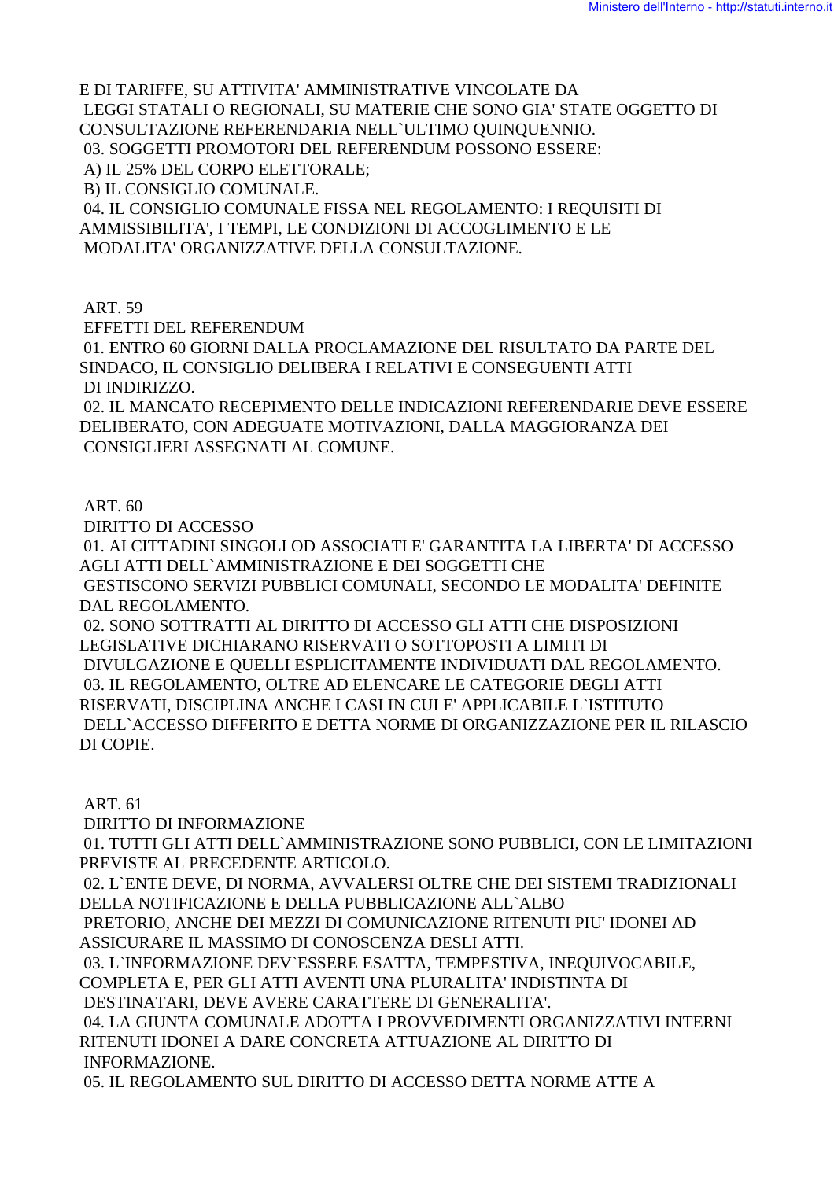E DI TARIFFE, SU ATTIVITA' AMMINISTRATIVE VINCOLATE DA LEGGI STATALI O REGIONALI, SU MATERIE CHE SONO GIA' STATE OGGETTO DI CONSULTAZIONE REFERENDARIA NELL`ULTIMO QUINQUENNIO. 03. SOGGETTI PROMOTORI DEL REFERENDUM POSSONO ESSERE: A) IL 25% DEL CORPO ELETTORALE; B) IL CONSIGLIO COMUNALE. 04. IL CONSIGLIO COMUNALE FISSA NEL REGOLAMENTO: I REQUISITI DI AMMISSIBILITA', I TEMPI, LE CONDIZIONI DI ACCOGLIMENTO E LE

MODALITA' ORGANIZZATIVE DELLA CONSULTAZIONE.

ART. 59

EFFETTI DEL REFERENDUM

 01. ENTRO 60 GIORNI DALLA PROCLAMAZIONE DEL RISULTATO DA PARTE DEL SINDACO, IL CONSIGLIO DELIBERA I RELATIVI E CONSEGUENTI ATTI DI INDIRIZZO.

 02. IL MANCATO RECEPIMENTO DELLE INDICAZIONI REFERENDARIE DEVE ESSERE DELIBERATO, CON ADEGUATE MOTIVAZIONI, DALLA MAGGIORANZA DEI CONSIGLIERI ASSEGNATI AL COMUNE.

ART. 60

DIRITTO DI ACCESSO

 01. AI CITTADINI SINGOLI OD ASSOCIATI E' GARANTITA LA LIBERTA' DI ACCESSO AGLI ATTI DELL`AMMINISTRAZIONE E DEI SOGGETTI CHE GESTISCONO SERVIZI PUBBLICI COMUNALI, SECONDO LE MODALITA' DEFINITE

DAL REGOLAMENTO.

 02. SONO SOTTRATTI AL DIRITTO DI ACCESSO GLI ATTI CHE DISPOSIZIONI LEGISLATIVE DICHIARANO RISERVATI O SOTTOPOSTI A LIMITI DI DIVULGAZIONE E QUELLI ESPLICITAMENTE INDIVIDUATI DAL REGOLAMENTO. 03. IL REGOLAMENTO, OLTRE AD ELENCARE LE CATEGORIE DEGLI ATTI RISERVATI, DISCIPLINA ANCHE I CASI IN CUI E' APPLICABILE L`ISTITUTO DELL`ACCESSO DIFFERITO E DETTA NORME DI ORGANIZZAZIONE PER IL RILASCIO DI COPIE.

ART. 61

DIRITTO DI INFORMAZIONE

 01. TUTTI GLI ATTI DELL`AMMINISTRAZIONE SONO PUBBLICI, CON LE LIMITAZIONI PREVISTE AL PRECEDENTE ARTICOLO.

 02. L`ENTE DEVE, DI NORMA, AVVALERSI OLTRE CHE DEI SISTEMI TRADIZIONALI DELLA NOTIFICAZIONE E DELLA PUBBLICAZIONE ALL`ALBO

 PRETORIO, ANCHE DEI MEZZI DI COMUNICAZIONE RITENUTI PIU' IDONEI AD ASSICURARE IL MASSIMO DI CONOSCENZA DESLI ATTI.

 03. L`INFORMAZIONE DEV`ESSERE ESATTA, TEMPESTIVA, INEQUIVOCABILE, COMPLETA E, PER GLI ATTI AVENTI UNA PLURALITA' INDISTINTA DI

DESTINATARI, DEVE AVERE CARATTERE DI GENERALITA'.

 04. LA GIUNTA COMUNALE ADOTTA I PROVVEDIMENTI ORGANIZZATIVI INTERNI RITENUTI IDONEI A DARE CONCRETA ATTUAZIONE AL DIRITTO DI INFORMAZIONE.

05. IL REGOLAMENTO SUL DIRITTO DI ACCESSO DETTA NORME ATTE A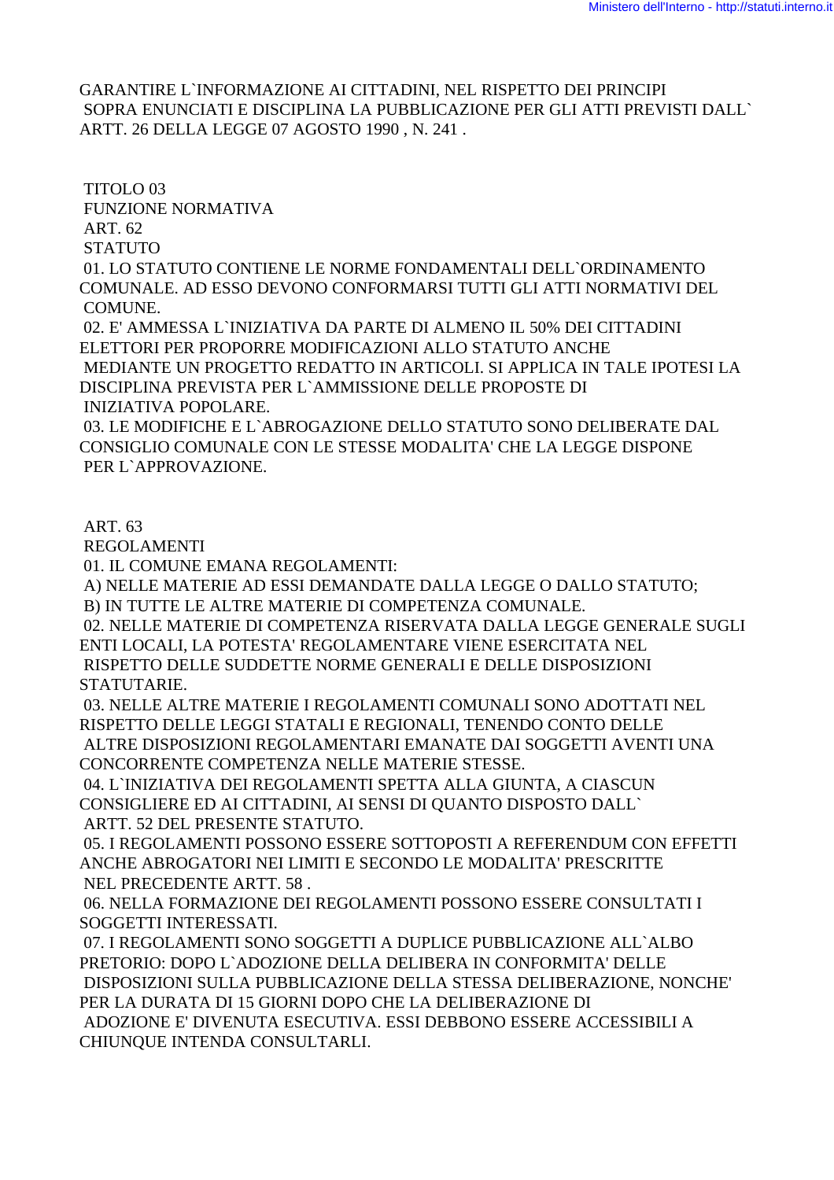GARANTIRE L`INFORMAZIONE AI CITTADINI, NEL RISPETTO DEI PRINCIPI SOPRA ENUNCIATI E DISCIPLINA LA PUBBLICAZIONE PER GLI ATTI PREVISTI DALL` ARTT. 26 DELLA LEGGE 07 AGOSTO 1990 , N. 241 .

 TITOLO 03 FUNZIONE NORMATIVA ART. 62 **STATUTO**  01. LO STATUTO CONTIENE LE NORME FONDAMENTALI DELL`ORDINAMENTO COMUNALE. AD ESSO DEVONO CONFORMARSI TUTTI GLI ATTI NORMATIVI DEL COMUNE. 02. E' AMMESSA L`INIZIATIVA DA PARTE DI ALMENO IL 50% DEI CITTADINI ELETTORI PER PROPORRE MODIFICAZIONI ALLO STATUTO ANCHE MEDIANTE UN PROGETTO REDATTO IN ARTICOLI. SI APPLICA IN TALE IPOTESI LA DISCIPLINA PREVISTA PER L`AMMISSIONE DELLE PROPOSTE DI INIZIATIVA POPOLARE. 03. LE MODIFICHE E L`ABROGAZIONE DELLO STATUTO SONO DELIBERATE DAL CONSIGLIO COMUNALE CON LE STESSE MODALITA' CHE LA LEGGE DISPONE

PER L`APPROVAZIONE.

#### ART. 63

REGOLAMENTI

01. IL COMUNE EMANA REGOLAMENTI:

A) NELLE MATERIE AD ESSI DEMANDATE DALLA LEGGE O DALLO STATUTO;

B) IN TUTTE LE ALTRE MATERIE DI COMPETENZA COMUNALE.

 02. NELLE MATERIE DI COMPETENZA RISERVATA DALLA LEGGE GENERALE SUGLI ENTI LOCALI, LA POTESTA' REGOLAMENTARE VIENE ESERCITATA NEL RISPETTO DELLE SUDDETTE NORME GENERALI E DELLE DISPOSIZIONI **STATUTARIE.** 

 03. NELLE ALTRE MATERIE I REGOLAMENTI COMUNALI SONO ADOTTATI NEL RISPETTO DELLE LEGGI STATALI E REGIONALI, TENENDO CONTO DELLE ALTRE DISPOSIZIONI REGOLAMENTARI EMANATE DAI SOGGETTI AVENTI UNA

CONCORRENTE COMPETENZA NELLE MATERIE STESSE.

 04. L`INIZIATIVA DEI REGOLAMENTI SPETTA ALLA GIUNTA, A CIASCUN CONSIGLIERE ED AI CITTADINI, AI SENSI DI QUANTO DISPOSTO DALL` ARTT. 52 DEL PRESENTE STATUTO.

 05. I REGOLAMENTI POSSONO ESSERE SOTTOPOSTI A REFERENDUM CON EFFETTI ANCHE ABROGATORI NEI LIMITI E SECONDO LE MODALITA' PRESCRITTE NEL PRECEDENTE ARTT. 58 .

 06. NELLA FORMAZIONE DEI REGOLAMENTI POSSONO ESSERE CONSULTATI I SOGGETTI INTERESSATI.

 07. I REGOLAMENTI SONO SOGGETTI A DUPLICE PUBBLICAZIONE ALL`ALBO PRETORIO: DOPO L`ADOZIONE DELLA DELIBERA IN CONFORMITA' DELLE DISPOSIZIONI SULLA PUBBLICAZIONE DELLA STESSA DELIBERAZIONE, NONCHE' PER LA DURATA DI 15 GIORNI DOPO CHE LA DELIBERAZIONE DI ADOZIONE E' DIVENUTA ESECUTIVA. ESSI DEBBONO ESSERE ACCESSIBILI A CHIUNQUE INTENDA CONSULTARLI.